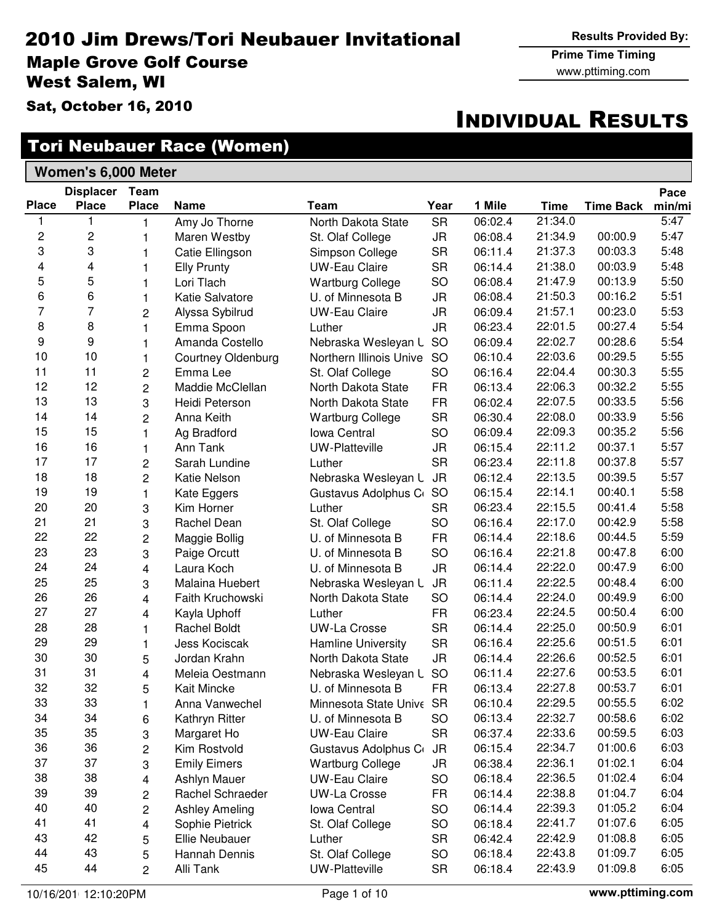#### 2010 Jim Drews/Tori Neubauer Invitational Maple Grove Golf Course West Salem, WI

Sat, October 16, 2010

## Tori Neubauer Race (Women)

| <b>Women's 6,000 Meter</b> |  |
|----------------------------|--|
|                            |  |

|              | <b>Displacer</b> | Team           |                           |                          |           |         |             |                  | Pace   |
|--------------|------------------|----------------|---------------------------|--------------------------|-----------|---------|-------------|------------------|--------|
| <b>Place</b> | <b>Place</b>     | <b>Place</b>   | <b>Name</b>               | Team                     | Year      | 1 Mile  | <b>Time</b> | <b>Time Back</b> | min/mi |
| 1            | 1                | 1              | Amy Jo Thorne             | North Dakota State       | <b>SR</b> | 06:02.4 | 21:34.0     |                  | 5:47   |
| 2            | 2                | 1              | Maren Westby              | St. Olaf College         | <b>JR</b> | 06:08.4 | 21:34.9     | 00:00.9          | 5:47   |
| 3            | 3                | 1              | Catie Ellingson           | Simpson College          | <b>SR</b> | 06:11.4 | 21:37.3     | 00:03.3          | 5:48   |
| 4            | 4                | 1              | <b>Elly Prunty</b>        | <b>UW-Eau Claire</b>     | <b>SR</b> | 06:14.4 | 21:38.0     | 00:03.9          | 5:48   |
| 5            | 5                | 1              | Lori Tlach                | <b>Wartburg College</b>  | SO        | 06:08.4 | 21:47.9     | 00:13.9          | 5:50   |
| 6            | 6                | 1              | Katie Salvatore           | U. of Minnesota B        | <b>JR</b> | 06:08.4 | 21:50.3     | 00:16.2          | 5:51   |
| 7            | $\overline{7}$   | 2              | Alyssa Sybilrud           | <b>UW-Eau Claire</b>     | JR        | 06:09.4 | 21:57.1     | 00:23.0          | 5:53   |
| 8            | 8                | $\mathbf{1}$   | Emma Spoon                | Luther                   | <b>JR</b> | 06:23.4 | 22:01.5     | 00:27.4          | 5:54   |
| 9            | 9                | 1              | Amanda Costello           | Nebraska Wesleyan L      | SO        | 06:09.4 | 22:02.7     | 00:28.6          | 5:54   |
| 10           | 10               | 1              | <b>Courtney Oldenburg</b> | Northern Illinois Unive  | SO        | 06:10.4 | 22:03.6     | 00:29.5          | 5:55   |
| 11           | 11               | 2              | Emma Lee                  | St. Olaf College         | SO        | 06:16.4 | 22:04.4     | 00:30.3          | 5:55   |
| 12           | 12               | 2              | Maddie McClellan          | North Dakota State       | <b>FR</b> | 06:13.4 | 22:06.3     | 00:32.2          | 5:55   |
| 13           | 13               | 3              | Heidi Peterson            | North Dakota State       | <b>FR</b> | 06:02.4 | 22:07.5     | 00:33.5          | 5:56   |
| 14           | 14               | $\overline{c}$ | Anna Keith                | <b>Wartburg College</b>  | <b>SR</b> | 06:30.4 | 22:08.0     | 00:33.9          | 5:56   |
| 15           | 15               | 1              | Ag Bradford               | Iowa Central             | SO        | 06:09.4 | 22:09.3     | 00:35.2          | 5:56   |
| 16           | 16               | 1              | Ann Tank                  | <b>UW-Platteville</b>    | <b>JR</b> | 06:15.4 | 22:11.2     | 00:37.1          | 5:57   |
| 17           | 17               | 2              | Sarah Lundine             | Luther                   | <b>SR</b> | 06:23.4 | 22:11.8     | 00:37.8          | 5:57   |
| 18           | 18               | 2              | <b>Katie Nelson</b>       | Nebraska Wesleyan L      | <b>JR</b> | 06:12.4 | 22:13.5     | 00:39.5          | 5:57   |
| 19           | 19               | $\mathbf{1}$   | Kate Eggers               | Gustavus Adolphus C      | <b>SO</b> | 06:15.4 | 22:14.1     | 00:40.1          | 5:58   |
| 20           | 20               | 3              | Kim Horner                | Luther                   | <b>SR</b> | 06:23.4 | 22:15.5     | 00:41.4          | 5:58   |
| 21           | 21               | 3              | Rachel Dean               | St. Olaf College         | SO        | 06:16.4 | 22:17.0     | 00:42.9          | 5:58   |
| 22           | 22               | 2              | Maggie Bollig             | U. of Minnesota B        | <b>FR</b> | 06:14.4 | 22:18.6     | 00:44.5          | 5:59   |
| 23           | 23               | 3              | Paige Orcutt              | U. of Minnesota B        | SO        | 06:16.4 | 22:21.8     | 00:47.8          | 6:00   |
| 24           | 24               | 4              | Laura Koch                | U. of Minnesota B        | <b>JR</b> | 06:14.4 | 22:22.0     | 00:47.9          | 6:00   |
| 25           | 25               | 3              | Malaina Huebert           | Nebraska Wesleyan L      | <b>JR</b> | 06:11.4 | 22:22.5     | 00:48.4          | 6:00   |
| 26           | 26               | 4              | Faith Kruchowski          | North Dakota State       | SO        | 06:14.4 | 22:24.0     | 00:49.9          | 6:00   |
| 27           | 27               | 4              | Kayla Uphoff              | Luther                   | <b>FR</b> | 06:23.4 | 22:24.5     | 00:50.4          | 6:00   |
| 28           | 28               | $\mathbf{1}$   | <b>Rachel Boldt</b>       | <b>UW-La Crosse</b>      | <b>SR</b> | 06:14.4 | 22:25.0     | 00:50.9          | 6:01   |
| 29           | 29               | 1              | Jess Kociscak             | Hamline University       | <b>SR</b> | 06:16.4 | 22:25.6     | 00:51.5          | 6:01   |
| 30           | 30               | 5              | Jordan Krahn              | North Dakota State       | <b>JR</b> | 06:14.4 | 22:26.6     | 00:52.5          | 6:01   |
| 31           | 31               | 4              | Meleia Oestmann           | Nebraska Wesleyan L      | SO        | 06:11.4 | 22:27.6     | 00:53.5          | 6:01   |
| 32           | 32               | 5              | Kait Mincke               | U. of Minnesota B        | <b>FR</b> | 06:13.4 | 22:27.8     | 00:53.7          | 6:01   |
| 33           | 33               | $\mathbf{1}$   | Anna Vanwechel            | Minnesota State Unive SR |           | 06:10.4 | 22:29.5     | 00:55.5          | 6:02   |
| 34           | 34               | 6              | Kathryn Ritter            | U. of Minnesota B        | SO        | 06:13.4 | 22:32.7     | 00:58.6          | 6:02   |
| 35           | 35               | 3              | Margaret Ho               | <b>UW-Eau Claire</b>     | <b>SR</b> | 06:37.4 | 22:33.6     | 00:59.5          | 6:03   |
| 36           | 36               | 2              | Kim Rostvold              | Gustavus Adolphus C      | <b>JR</b> | 06:15.4 | 22:34.7     | 01:00.6          | 6:03   |
| 37           | 37               | 3              | <b>Emily Eimers</b>       | <b>Wartburg College</b>  | JR        | 06:38.4 | 22:36.1     | 01:02.1          | 6:04   |
| 38           | 38               | 4              | Ashlyn Mauer              | <b>UW-Eau Claire</b>     | SO        | 06:18.4 | 22:36.5     | 01:02.4          | 6:04   |
| 39           | 39               | 2              | Rachel Schraeder          | <b>UW-La Crosse</b>      | <b>FR</b> | 06:14.4 | 22:38.8     | 01:04.7          | 6:04   |
| 40           | 40               | 2              | <b>Ashley Ameling</b>     | Iowa Central             | SO        | 06:14.4 | 22:39.3     | 01:05.2          | 6:04   |
| 41           | 41               | 4              | Sophie Pietrick           | St. Olaf College         | SO        | 06:18.4 | 22:41.7     | 01:07.6          | 6:05   |
| 43           | 42               | 5              | <b>Ellie Neubauer</b>     | Luther                   | <b>SR</b> | 06:42.4 | 22:42.9     | 01:08.8          | 6:05   |
| 44           | 43               | 5              | Hannah Dennis             | St. Olaf College         | SO        | 06:18.4 | 22:43.8     | 01:09.7          | 6:05   |
| 45           | 44               | $\overline{c}$ | Alli Tank                 | <b>UW-Platteville</b>    | <b>SR</b> | 06:18.4 | 22:43.9     | 01:09.8          | 6:05   |

www.pttiming.com Prime Time Timing

# INDIVIDUAL RESULTS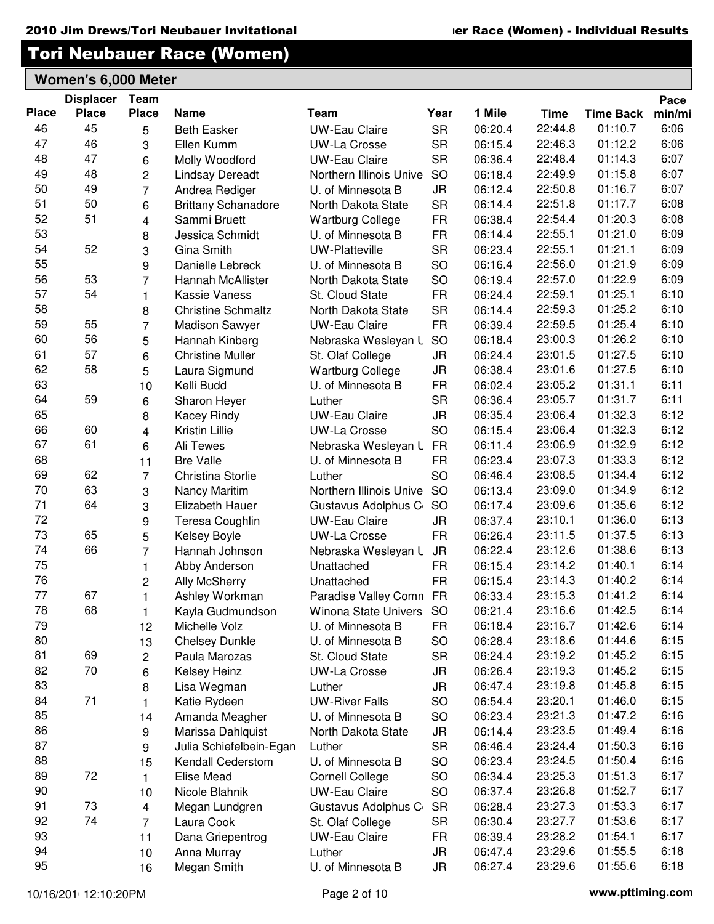| 22:44.8<br>46<br>45<br>06:20.4<br>01:10.7<br><b>SR</b><br>6:06<br><b>Beth Easker</b><br><b>UW-Eau Claire</b><br>5<br>47<br>46<br>22:46.3<br>01:12.2<br>6:06<br><b>SR</b><br>3<br>Ellen Kumm<br>06:15.4<br><b>UW-La Crosse</b><br>48<br>47<br>6:07<br>22:48.4<br>01:14.3<br><b>SR</b><br>06:36.4<br>Molly Woodford<br><b>UW-Eau Claire</b><br>6<br>48<br>49<br>22:49.9<br>01:15.8<br>6:07<br>$\overline{c}$<br>06:18.4<br>SO<br><b>Lindsay Dereadt</b><br>Northern Illinois Unive<br>50<br>49<br>22:50.8<br>6:07<br>$\overline{7}$<br>01:16.7<br>JR<br>06:12.4<br>Andrea Rediger<br>U. of Minnesota B<br>51<br>50<br>22:51.8<br>6:08<br>01:17.7<br>6<br><b>SR</b><br>06:14.4<br><b>Brittany Schanadore</b><br>North Dakota State<br>52<br>51<br>22:54.4<br>01:20.3<br>6:08<br>$\overline{\mathbf{4}}$<br><b>FR</b><br>06:38.4<br>Sammi Bruett<br><b>Wartburg College</b><br>53<br>22:55.1<br>01:21.0<br>6:09<br>8<br>Jessica Schmidt<br>U. of Minnesota B<br><b>FR</b><br>06:14.4<br>54<br>52<br>22:55.1<br>01:21.1<br>6:09<br>3<br><b>SR</b><br>06:23.4<br>Gina Smith<br><b>UW-Platteville</b><br>55<br>22:56.0<br>6:09<br>01:21.9<br>9<br>Danielle Lebreck<br>SO<br>06:16.4<br>U. of Minnesota B<br>56<br>53<br>22:57.0<br>01:22.9<br>6:09<br>$\overline{7}$<br>SO<br>06:19.4<br>Hannah McAllister<br>North Dakota State<br>57<br>54<br>01:25.1<br>6:10<br><b>FR</b><br>22:59.1<br>06:24.4<br>1<br>Kassie Vaness<br>St. Cloud State<br>58<br>22:59.3<br>01:25.2<br>6:10<br><b>SR</b><br>06:14.4<br>8<br><b>Christine Schmaltz</b><br>North Dakota State<br>59<br>55<br>$\overline{7}$<br>22:59.5<br>01:25.4<br>6:10<br>06:39.4<br><b>FR</b><br>Madison Sawyer<br><b>UW-Eau Claire</b><br>60<br>56<br>01:26.2<br>6:10<br>23:00.3<br>5<br><b>SO</b><br>06:18.4<br>Hannah Kinberg<br>Nebraska Wesleyan L<br>57<br>61<br>23:01.5<br>01:27.5<br>6:10<br>6<br><b>Christine Muller</b><br><b>JR</b><br>06:24.4<br>St. Olaf College<br>62<br>58<br>01:27.5<br>6:10<br>5<br>23:01.6<br>06:38.4<br>Laura Sigmund<br><b>Wartburg College</b><br>JR<br>63<br>23:05.2<br>01:31.1<br>6:11<br>06:02.4<br>10<br>Kelli Budd<br><b>FR</b><br>U. of Minnesota B<br>64<br>59<br>23:05.7<br>01:31.7<br>6:11<br><b>SR</b><br>06:36.4<br>6<br>Sharon Heyer<br>Luther<br>65<br>23:06.4<br><b>JR</b><br>01:32.3<br>6:12<br>8<br><b>UW-Eau Claire</b><br>06:35.4<br>Kacey Rindy<br>66<br>60<br>23:06.4<br>01:32.3<br>6:12<br>$\overline{4}$<br>Kristin Lillie<br><b>UW-La Crosse</b><br>SO<br>06:15.4<br>67<br>61<br>23:06.9<br>01:32.9<br>6:12<br>Ali Tewes<br>Nebraska Wesleyan L<br><b>FR</b><br>06:11.4<br>6<br>68<br>23:07.3<br>01:33.3<br>6:12<br><b>FR</b><br>06:23.4<br><b>Bre Valle</b><br>U. of Minnesota B<br>11<br>69<br>62<br>01:34.4<br>6:12<br>SO<br>23:08.5<br>$\overline{7}$<br>06:46.4<br>Christina Storlie<br>Luther<br>70<br>63<br>6:12<br>23:09.0<br>01:34.9<br>3<br><b>SO</b><br>06:13.4<br>Northern Illinois Unive<br>Nancy Maritim<br>71<br>64<br>23:09.6<br>01:35.6<br>6:12<br>3<br><b>SO</b><br>06:17.4<br>Elizabeth Hauer<br>Gustavus Adolphus C<br>72<br>01:36.0<br>6:13<br>9<br>23:10.1<br>06:37.4<br>Teresa Coughlin<br><b>UW-Eau Claire</b><br>JR<br>73<br>5<br>65<br>23:11.5<br>01:37.5<br>6:13<br>06:26.4<br>UW-La Crosse<br><b>FR</b><br>Kelsey Boyle<br>74<br>66<br>01:38.6<br>6:13<br>23:12.6<br>$\overline{7}$<br>06:22.4<br>Hannah Johnson<br>Nebraska Wesleyan L<br><b>JR</b><br>75<br>6:14<br>23:14.2<br>01:40.1<br><b>FR</b><br>Unattached<br>06:15.4<br>1<br>Abby Anderson<br>76<br>6:14<br>23:14.3<br>01:40.2<br><b>Ally McSherry</b><br><b>FR</b><br>06:15.4<br>$\overline{c}$<br>Unattached<br>77<br>67<br>23:15.3<br>01:41.2<br>6:14<br>Ashley Workman<br>Paradise Valley Comn FR<br>06:33.4<br>1<br>78<br>68<br>23:16.6<br>01:42.5<br>6:14<br>06:21.4<br>Kayla Gudmundson<br>Winona State Univers SO<br>1<br>79<br>23:16.7<br>01:42.6<br>6:14<br>06:18.4<br>Michelle Volz<br>U. of Minnesota B<br><b>FR</b><br>12<br>80<br>23:18.6<br>01:44.6<br>6:15<br>SO<br>06:28.4<br>13<br>U. of Minnesota B<br><b>Chelsey Dunkle</b><br>81<br>69<br>23:19.2<br>01:45.2<br>6:15<br><b>SR</b><br>06:24.4<br>Paula Marozas<br>St. Cloud State<br>2<br>82<br>70<br>01:45.2<br>6:15<br>23:19.3<br>Kelsey Heinz<br><b>UW-La Crosse</b><br>JR<br>06:26.4<br>6<br>83<br>6:15<br>23:19.8<br>01:45.8<br>8<br>06:47.4<br>Lisa Wegman<br>Luther<br>JR<br>84<br>71<br>6:15<br>06:54.4<br>23:20.1<br>01:46.0<br><b>UW-River Falls</b><br>SO<br>Katie Rydeen<br>1<br>85<br>23:21.3<br>01:47.2<br>6:16<br>SO<br>06:23.4<br>Amanda Meagher<br>U. of Minnesota B<br>14<br>86<br>23:23.5<br>01:49.4<br>6:16<br>Marissa Dahlquist<br>06:14.4<br>North Dakota State<br>JR<br>9<br>87<br>23:24.4<br>01:50.3<br>6:16<br><b>SR</b><br>06:46.4<br>9<br>Julia Schiefelbein-Egan<br>Luther<br>88<br>23:24.5<br>01:50.4<br>6:16<br>06:23.4<br>U. of Minnesota B<br><b>SO</b><br>Kendall Cederstom<br>15<br>89<br>72<br>01:51.3<br>6:17<br>23:25.3<br>SO<br>06:34.4<br><b>Elise Mead</b><br><b>Cornell College</b><br>$\mathbf{1}$<br>90<br>6:17<br>23:26.8<br>01:52.7<br>SO<br><b>UW-Eau Claire</b><br>06:37.4<br>Nicole Blahnik<br>10<br>91<br>6:17<br>73<br>23:27.3<br>01:53.3<br>Gustavus Adolphus C<br><b>SR</b><br>06:28.4<br>Megan Lundgren<br>4<br>92<br>74<br>6:17<br>23:27.7<br>01:53.6<br>$\overline{7}$<br><b>SR</b><br>06:30.4<br>Laura Cook<br>St. Olaf College<br>93<br>23:28.2<br>01:54.1<br>6:17<br>11<br><b>UW-Eau Claire</b><br>06:39.4<br>Dana Griepentrog<br><b>FR</b><br>94<br>01:55.5<br>6:18<br>23:29.6<br>06:47.4<br>10<br>Anna Murray<br>Luther<br>JR<br>95<br>23:29.6<br>01:55.6<br>6:18<br>U. of Minnesota B<br>JR<br>06:27.4<br>Megan Smith<br>16 | <b>Place</b> | <b>Displacer</b><br><b>Place</b> | <b>Team</b><br><b>Place</b> | <b>Name</b> | Team | Year | 1 Mile | <b>Time</b> | <b>Time Back</b> | Pace<br>min/mi |
|---------------------------------------------------------------------------------------------------------------------------------------------------------------------------------------------------------------------------------------------------------------------------------------------------------------------------------------------------------------------------------------------------------------------------------------------------------------------------------------------------------------------------------------------------------------------------------------------------------------------------------------------------------------------------------------------------------------------------------------------------------------------------------------------------------------------------------------------------------------------------------------------------------------------------------------------------------------------------------------------------------------------------------------------------------------------------------------------------------------------------------------------------------------------------------------------------------------------------------------------------------------------------------------------------------------------------------------------------------------------------------------------------------------------------------------------------------------------------------------------------------------------------------------------------------------------------------------------------------------------------------------------------------------------------------------------------------------------------------------------------------------------------------------------------------------------------------------------------------------------------------------------------------------------------------------------------------------------------------------------------------------------------------------------------------------------------------------------------------------------------------------------------------------------------------------------------------------------------------------------------------------------------------------------------------------------------------------------------------------------------------------------------------------------------------------------------------------------------------------------------------------------------------------------------------------------------------------------------------------------------------------------------------------------------------------------------------------------------------------------------------------------------------------------------------------------------------------------------------------------------------------------------------------------------------------------------------------------------------------------------------------------------------------------------------------------------------------------------------------------------------------------------------------------------------------------------------------------------------------------------------------------------------------------------------------------------------------------------------------------------------------------------------------------------------------------------------------------------------------------------------------------------------------------------------------------------------------------------------------------------------------------------------------------------------------------------------------------------------------------------------------------------------------------------------------------------------------------------------------------------------------------------------------------------------------------------------------------------------------------------------------------------------------------------------------------------------------------------------------------------------------------------------------------------------------------------------------------------------------------------------------------------------------------------------------------------------------------------------------------------------------------------------------------------------------------------------------------------------------------------------------------------------------------------------------------------------------------------------------------------------------------------------------------------------------------------------------------------------------------------------------------------------------------------------------------------------------------------------------------------------------------------------------------------------------------------------------------------------------------------------------------------------------------------------------------------------------------------------------------------------------------------------------------------------------------------------------------------------------------------------------------------------------------------------------------------------------------------------------------------------------------------------------------------------------------------------------------------------------------------------------------------------------------------------------------------------------------------------------------------------------------------------------|--------------|----------------------------------|-----------------------------|-------------|------|------|--------|-------------|------------------|----------------|
|                                                                                                                                                                                                                                                                                                                                                                                                                                                                                                                                                                                                                                                                                                                                                                                                                                                                                                                                                                                                                                                                                                                                                                                                                                                                                                                                                                                                                                                                                                                                                                                                                                                                                                                                                                                                                                                                                                                                                                                                                                                                                                                                                                                                                                                                                                                                                                                                                                                                                                                                                                                                                                                                                                                                                                                                                                                                                                                                                                                                                                                                                                                                                                                                                                                                                                                                                                                                                                                                                                                                                                                                                                                                                                                                                                                                                                                                                                                                                                                                                                                                                                                                                                                                                                                                                                                                                                                                                                                                                                                                                                                                                                                                                                                                                                                                                                                                                                                                                                                                                                                                                                                                                                                                                                                                                                                                                                                                                                                                                                                                                                                                                                                               |              |                                  |                             |             |      |      |        |             |                  |                |
|                                                                                                                                                                                                                                                                                                                                                                                                                                                                                                                                                                                                                                                                                                                                                                                                                                                                                                                                                                                                                                                                                                                                                                                                                                                                                                                                                                                                                                                                                                                                                                                                                                                                                                                                                                                                                                                                                                                                                                                                                                                                                                                                                                                                                                                                                                                                                                                                                                                                                                                                                                                                                                                                                                                                                                                                                                                                                                                                                                                                                                                                                                                                                                                                                                                                                                                                                                                                                                                                                                                                                                                                                                                                                                                                                                                                                                                                                                                                                                                                                                                                                                                                                                                                                                                                                                                                                                                                                                                                                                                                                                                                                                                                                                                                                                                                                                                                                                                                                                                                                                                                                                                                                                                                                                                                                                                                                                                                                                                                                                                                                                                                                                                               |              |                                  |                             |             |      |      |        |             |                  |                |
|                                                                                                                                                                                                                                                                                                                                                                                                                                                                                                                                                                                                                                                                                                                                                                                                                                                                                                                                                                                                                                                                                                                                                                                                                                                                                                                                                                                                                                                                                                                                                                                                                                                                                                                                                                                                                                                                                                                                                                                                                                                                                                                                                                                                                                                                                                                                                                                                                                                                                                                                                                                                                                                                                                                                                                                                                                                                                                                                                                                                                                                                                                                                                                                                                                                                                                                                                                                                                                                                                                                                                                                                                                                                                                                                                                                                                                                                                                                                                                                                                                                                                                                                                                                                                                                                                                                                                                                                                                                                                                                                                                                                                                                                                                                                                                                                                                                                                                                                                                                                                                                                                                                                                                                                                                                                                                                                                                                                                                                                                                                                                                                                                                                               |              |                                  |                             |             |      |      |        |             |                  |                |
|                                                                                                                                                                                                                                                                                                                                                                                                                                                                                                                                                                                                                                                                                                                                                                                                                                                                                                                                                                                                                                                                                                                                                                                                                                                                                                                                                                                                                                                                                                                                                                                                                                                                                                                                                                                                                                                                                                                                                                                                                                                                                                                                                                                                                                                                                                                                                                                                                                                                                                                                                                                                                                                                                                                                                                                                                                                                                                                                                                                                                                                                                                                                                                                                                                                                                                                                                                                                                                                                                                                                                                                                                                                                                                                                                                                                                                                                                                                                                                                                                                                                                                                                                                                                                                                                                                                                                                                                                                                                                                                                                                                                                                                                                                                                                                                                                                                                                                                                                                                                                                                                                                                                                                                                                                                                                                                                                                                                                                                                                                                                                                                                                                                               |              |                                  |                             |             |      |      |        |             |                  |                |
|                                                                                                                                                                                                                                                                                                                                                                                                                                                                                                                                                                                                                                                                                                                                                                                                                                                                                                                                                                                                                                                                                                                                                                                                                                                                                                                                                                                                                                                                                                                                                                                                                                                                                                                                                                                                                                                                                                                                                                                                                                                                                                                                                                                                                                                                                                                                                                                                                                                                                                                                                                                                                                                                                                                                                                                                                                                                                                                                                                                                                                                                                                                                                                                                                                                                                                                                                                                                                                                                                                                                                                                                                                                                                                                                                                                                                                                                                                                                                                                                                                                                                                                                                                                                                                                                                                                                                                                                                                                                                                                                                                                                                                                                                                                                                                                                                                                                                                                                                                                                                                                                                                                                                                                                                                                                                                                                                                                                                                                                                                                                                                                                                                                               |              |                                  |                             |             |      |      |        |             |                  |                |
|                                                                                                                                                                                                                                                                                                                                                                                                                                                                                                                                                                                                                                                                                                                                                                                                                                                                                                                                                                                                                                                                                                                                                                                                                                                                                                                                                                                                                                                                                                                                                                                                                                                                                                                                                                                                                                                                                                                                                                                                                                                                                                                                                                                                                                                                                                                                                                                                                                                                                                                                                                                                                                                                                                                                                                                                                                                                                                                                                                                                                                                                                                                                                                                                                                                                                                                                                                                                                                                                                                                                                                                                                                                                                                                                                                                                                                                                                                                                                                                                                                                                                                                                                                                                                                                                                                                                                                                                                                                                                                                                                                                                                                                                                                                                                                                                                                                                                                                                                                                                                                                                                                                                                                                                                                                                                                                                                                                                                                                                                                                                                                                                                                                               |              |                                  |                             |             |      |      |        |             |                  |                |
|                                                                                                                                                                                                                                                                                                                                                                                                                                                                                                                                                                                                                                                                                                                                                                                                                                                                                                                                                                                                                                                                                                                                                                                                                                                                                                                                                                                                                                                                                                                                                                                                                                                                                                                                                                                                                                                                                                                                                                                                                                                                                                                                                                                                                                                                                                                                                                                                                                                                                                                                                                                                                                                                                                                                                                                                                                                                                                                                                                                                                                                                                                                                                                                                                                                                                                                                                                                                                                                                                                                                                                                                                                                                                                                                                                                                                                                                                                                                                                                                                                                                                                                                                                                                                                                                                                                                                                                                                                                                                                                                                                                                                                                                                                                                                                                                                                                                                                                                                                                                                                                                                                                                                                                                                                                                                                                                                                                                                                                                                                                                                                                                                                                               |              |                                  |                             |             |      |      |        |             |                  |                |
|                                                                                                                                                                                                                                                                                                                                                                                                                                                                                                                                                                                                                                                                                                                                                                                                                                                                                                                                                                                                                                                                                                                                                                                                                                                                                                                                                                                                                                                                                                                                                                                                                                                                                                                                                                                                                                                                                                                                                                                                                                                                                                                                                                                                                                                                                                                                                                                                                                                                                                                                                                                                                                                                                                                                                                                                                                                                                                                                                                                                                                                                                                                                                                                                                                                                                                                                                                                                                                                                                                                                                                                                                                                                                                                                                                                                                                                                                                                                                                                                                                                                                                                                                                                                                                                                                                                                                                                                                                                                                                                                                                                                                                                                                                                                                                                                                                                                                                                                                                                                                                                                                                                                                                                                                                                                                                                                                                                                                                                                                                                                                                                                                                                               |              |                                  |                             |             |      |      |        |             |                  |                |
|                                                                                                                                                                                                                                                                                                                                                                                                                                                                                                                                                                                                                                                                                                                                                                                                                                                                                                                                                                                                                                                                                                                                                                                                                                                                                                                                                                                                                                                                                                                                                                                                                                                                                                                                                                                                                                                                                                                                                                                                                                                                                                                                                                                                                                                                                                                                                                                                                                                                                                                                                                                                                                                                                                                                                                                                                                                                                                                                                                                                                                                                                                                                                                                                                                                                                                                                                                                                                                                                                                                                                                                                                                                                                                                                                                                                                                                                                                                                                                                                                                                                                                                                                                                                                                                                                                                                                                                                                                                                                                                                                                                                                                                                                                                                                                                                                                                                                                                                                                                                                                                                                                                                                                                                                                                                                                                                                                                                                                                                                                                                                                                                                                                               |              |                                  |                             |             |      |      |        |             |                  |                |
|                                                                                                                                                                                                                                                                                                                                                                                                                                                                                                                                                                                                                                                                                                                                                                                                                                                                                                                                                                                                                                                                                                                                                                                                                                                                                                                                                                                                                                                                                                                                                                                                                                                                                                                                                                                                                                                                                                                                                                                                                                                                                                                                                                                                                                                                                                                                                                                                                                                                                                                                                                                                                                                                                                                                                                                                                                                                                                                                                                                                                                                                                                                                                                                                                                                                                                                                                                                                                                                                                                                                                                                                                                                                                                                                                                                                                                                                                                                                                                                                                                                                                                                                                                                                                                                                                                                                                                                                                                                                                                                                                                                                                                                                                                                                                                                                                                                                                                                                                                                                                                                                                                                                                                                                                                                                                                                                                                                                                                                                                                                                                                                                                                                               |              |                                  |                             |             |      |      |        |             |                  |                |
|                                                                                                                                                                                                                                                                                                                                                                                                                                                                                                                                                                                                                                                                                                                                                                                                                                                                                                                                                                                                                                                                                                                                                                                                                                                                                                                                                                                                                                                                                                                                                                                                                                                                                                                                                                                                                                                                                                                                                                                                                                                                                                                                                                                                                                                                                                                                                                                                                                                                                                                                                                                                                                                                                                                                                                                                                                                                                                                                                                                                                                                                                                                                                                                                                                                                                                                                                                                                                                                                                                                                                                                                                                                                                                                                                                                                                                                                                                                                                                                                                                                                                                                                                                                                                                                                                                                                                                                                                                                                                                                                                                                                                                                                                                                                                                                                                                                                                                                                                                                                                                                                                                                                                                                                                                                                                                                                                                                                                                                                                                                                                                                                                                                               |              |                                  |                             |             |      |      |        |             |                  |                |
|                                                                                                                                                                                                                                                                                                                                                                                                                                                                                                                                                                                                                                                                                                                                                                                                                                                                                                                                                                                                                                                                                                                                                                                                                                                                                                                                                                                                                                                                                                                                                                                                                                                                                                                                                                                                                                                                                                                                                                                                                                                                                                                                                                                                                                                                                                                                                                                                                                                                                                                                                                                                                                                                                                                                                                                                                                                                                                                                                                                                                                                                                                                                                                                                                                                                                                                                                                                                                                                                                                                                                                                                                                                                                                                                                                                                                                                                                                                                                                                                                                                                                                                                                                                                                                                                                                                                                                                                                                                                                                                                                                                                                                                                                                                                                                                                                                                                                                                                                                                                                                                                                                                                                                                                                                                                                                                                                                                                                                                                                                                                                                                                                                                               |              |                                  |                             |             |      |      |        |             |                  |                |
|                                                                                                                                                                                                                                                                                                                                                                                                                                                                                                                                                                                                                                                                                                                                                                                                                                                                                                                                                                                                                                                                                                                                                                                                                                                                                                                                                                                                                                                                                                                                                                                                                                                                                                                                                                                                                                                                                                                                                                                                                                                                                                                                                                                                                                                                                                                                                                                                                                                                                                                                                                                                                                                                                                                                                                                                                                                                                                                                                                                                                                                                                                                                                                                                                                                                                                                                                                                                                                                                                                                                                                                                                                                                                                                                                                                                                                                                                                                                                                                                                                                                                                                                                                                                                                                                                                                                                                                                                                                                                                                                                                                                                                                                                                                                                                                                                                                                                                                                                                                                                                                                                                                                                                                                                                                                                                                                                                                                                                                                                                                                                                                                                                                               |              |                                  |                             |             |      |      |        |             |                  |                |
|                                                                                                                                                                                                                                                                                                                                                                                                                                                                                                                                                                                                                                                                                                                                                                                                                                                                                                                                                                                                                                                                                                                                                                                                                                                                                                                                                                                                                                                                                                                                                                                                                                                                                                                                                                                                                                                                                                                                                                                                                                                                                                                                                                                                                                                                                                                                                                                                                                                                                                                                                                                                                                                                                                                                                                                                                                                                                                                                                                                                                                                                                                                                                                                                                                                                                                                                                                                                                                                                                                                                                                                                                                                                                                                                                                                                                                                                                                                                                                                                                                                                                                                                                                                                                                                                                                                                                                                                                                                                                                                                                                                                                                                                                                                                                                                                                                                                                                                                                                                                                                                                                                                                                                                                                                                                                                                                                                                                                                                                                                                                                                                                                                                               |              |                                  |                             |             |      |      |        |             |                  |                |
|                                                                                                                                                                                                                                                                                                                                                                                                                                                                                                                                                                                                                                                                                                                                                                                                                                                                                                                                                                                                                                                                                                                                                                                                                                                                                                                                                                                                                                                                                                                                                                                                                                                                                                                                                                                                                                                                                                                                                                                                                                                                                                                                                                                                                                                                                                                                                                                                                                                                                                                                                                                                                                                                                                                                                                                                                                                                                                                                                                                                                                                                                                                                                                                                                                                                                                                                                                                                                                                                                                                                                                                                                                                                                                                                                                                                                                                                                                                                                                                                                                                                                                                                                                                                                                                                                                                                                                                                                                                                                                                                                                                                                                                                                                                                                                                                                                                                                                                                                                                                                                                                                                                                                                                                                                                                                                                                                                                                                                                                                                                                                                                                                                                               |              |                                  |                             |             |      |      |        |             |                  |                |
|                                                                                                                                                                                                                                                                                                                                                                                                                                                                                                                                                                                                                                                                                                                                                                                                                                                                                                                                                                                                                                                                                                                                                                                                                                                                                                                                                                                                                                                                                                                                                                                                                                                                                                                                                                                                                                                                                                                                                                                                                                                                                                                                                                                                                                                                                                                                                                                                                                                                                                                                                                                                                                                                                                                                                                                                                                                                                                                                                                                                                                                                                                                                                                                                                                                                                                                                                                                                                                                                                                                                                                                                                                                                                                                                                                                                                                                                                                                                                                                                                                                                                                                                                                                                                                                                                                                                                                                                                                                                                                                                                                                                                                                                                                                                                                                                                                                                                                                                                                                                                                                                                                                                                                                                                                                                                                                                                                                                                                                                                                                                                                                                                                                               |              |                                  |                             |             |      |      |        |             |                  |                |
|                                                                                                                                                                                                                                                                                                                                                                                                                                                                                                                                                                                                                                                                                                                                                                                                                                                                                                                                                                                                                                                                                                                                                                                                                                                                                                                                                                                                                                                                                                                                                                                                                                                                                                                                                                                                                                                                                                                                                                                                                                                                                                                                                                                                                                                                                                                                                                                                                                                                                                                                                                                                                                                                                                                                                                                                                                                                                                                                                                                                                                                                                                                                                                                                                                                                                                                                                                                                                                                                                                                                                                                                                                                                                                                                                                                                                                                                                                                                                                                                                                                                                                                                                                                                                                                                                                                                                                                                                                                                                                                                                                                                                                                                                                                                                                                                                                                                                                                                                                                                                                                                                                                                                                                                                                                                                                                                                                                                                                                                                                                                                                                                                                                               |              |                                  |                             |             |      |      |        |             |                  |                |
|                                                                                                                                                                                                                                                                                                                                                                                                                                                                                                                                                                                                                                                                                                                                                                                                                                                                                                                                                                                                                                                                                                                                                                                                                                                                                                                                                                                                                                                                                                                                                                                                                                                                                                                                                                                                                                                                                                                                                                                                                                                                                                                                                                                                                                                                                                                                                                                                                                                                                                                                                                                                                                                                                                                                                                                                                                                                                                                                                                                                                                                                                                                                                                                                                                                                                                                                                                                                                                                                                                                                                                                                                                                                                                                                                                                                                                                                                                                                                                                                                                                                                                                                                                                                                                                                                                                                                                                                                                                                                                                                                                                                                                                                                                                                                                                                                                                                                                                                                                                                                                                                                                                                                                                                                                                                                                                                                                                                                                                                                                                                                                                                                                                               |              |                                  |                             |             |      |      |        |             |                  |                |
|                                                                                                                                                                                                                                                                                                                                                                                                                                                                                                                                                                                                                                                                                                                                                                                                                                                                                                                                                                                                                                                                                                                                                                                                                                                                                                                                                                                                                                                                                                                                                                                                                                                                                                                                                                                                                                                                                                                                                                                                                                                                                                                                                                                                                                                                                                                                                                                                                                                                                                                                                                                                                                                                                                                                                                                                                                                                                                                                                                                                                                                                                                                                                                                                                                                                                                                                                                                                                                                                                                                                                                                                                                                                                                                                                                                                                                                                                                                                                                                                                                                                                                                                                                                                                                                                                                                                                                                                                                                                                                                                                                                                                                                                                                                                                                                                                                                                                                                                                                                                                                                                                                                                                                                                                                                                                                                                                                                                                                                                                                                                                                                                                                                               |              |                                  |                             |             |      |      |        |             |                  |                |
|                                                                                                                                                                                                                                                                                                                                                                                                                                                                                                                                                                                                                                                                                                                                                                                                                                                                                                                                                                                                                                                                                                                                                                                                                                                                                                                                                                                                                                                                                                                                                                                                                                                                                                                                                                                                                                                                                                                                                                                                                                                                                                                                                                                                                                                                                                                                                                                                                                                                                                                                                                                                                                                                                                                                                                                                                                                                                                                                                                                                                                                                                                                                                                                                                                                                                                                                                                                                                                                                                                                                                                                                                                                                                                                                                                                                                                                                                                                                                                                                                                                                                                                                                                                                                                                                                                                                                                                                                                                                                                                                                                                                                                                                                                                                                                                                                                                                                                                                                                                                                                                                                                                                                                                                                                                                                                                                                                                                                                                                                                                                                                                                                                                               |              |                                  |                             |             |      |      |        |             |                  |                |
|                                                                                                                                                                                                                                                                                                                                                                                                                                                                                                                                                                                                                                                                                                                                                                                                                                                                                                                                                                                                                                                                                                                                                                                                                                                                                                                                                                                                                                                                                                                                                                                                                                                                                                                                                                                                                                                                                                                                                                                                                                                                                                                                                                                                                                                                                                                                                                                                                                                                                                                                                                                                                                                                                                                                                                                                                                                                                                                                                                                                                                                                                                                                                                                                                                                                                                                                                                                                                                                                                                                                                                                                                                                                                                                                                                                                                                                                                                                                                                                                                                                                                                                                                                                                                                                                                                                                                                                                                                                                                                                                                                                                                                                                                                                                                                                                                                                                                                                                                                                                                                                                                                                                                                                                                                                                                                                                                                                                                                                                                                                                                                                                                                                               |              |                                  |                             |             |      |      |        |             |                  |                |
|                                                                                                                                                                                                                                                                                                                                                                                                                                                                                                                                                                                                                                                                                                                                                                                                                                                                                                                                                                                                                                                                                                                                                                                                                                                                                                                                                                                                                                                                                                                                                                                                                                                                                                                                                                                                                                                                                                                                                                                                                                                                                                                                                                                                                                                                                                                                                                                                                                                                                                                                                                                                                                                                                                                                                                                                                                                                                                                                                                                                                                                                                                                                                                                                                                                                                                                                                                                                                                                                                                                                                                                                                                                                                                                                                                                                                                                                                                                                                                                                                                                                                                                                                                                                                                                                                                                                                                                                                                                                                                                                                                                                                                                                                                                                                                                                                                                                                                                                                                                                                                                                                                                                                                                                                                                                                                                                                                                                                                                                                                                                                                                                                                                               |              |                                  |                             |             |      |      |        |             |                  |                |
|                                                                                                                                                                                                                                                                                                                                                                                                                                                                                                                                                                                                                                                                                                                                                                                                                                                                                                                                                                                                                                                                                                                                                                                                                                                                                                                                                                                                                                                                                                                                                                                                                                                                                                                                                                                                                                                                                                                                                                                                                                                                                                                                                                                                                                                                                                                                                                                                                                                                                                                                                                                                                                                                                                                                                                                                                                                                                                                                                                                                                                                                                                                                                                                                                                                                                                                                                                                                                                                                                                                                                                                                                                                                                                                                                                                                                                                                                                                                                                                                                                                                                                                                                                                                                                                                                                                                                                                                                                                                                                                                                                                                                                                                                                                                                                                                                                                                                                                                                                                                                                                                                                                                                                                                                                                                                                                                                                                                                                                                                                                                                                                                                                                               |              |                                  |                             |             |      |      |        |             |                  |                |
|                                                                                                                                                                                                                                                                                                                                                                                                                                                                                                                                                                                                                                                                                                                                                                                                                                                                                                                                                                                                                                                                                                                                                                                                                                                                                                                                                                                                                                                                                                                                                                                                                                                                                                                                                                                                                                                                                                                                                                                                                                                                                                                                                                                                                                                                                                                                                                                                                                                                                                                                                                                                                                                                                                                                                                                                                                                                                                                                                                                                                                                                                                                                                                                                                                                                                                                                                                                                                                                                                                                                                                                                                                                                                                                                                                                                                                                                                                                                                                                                                                                                                                                                                                                                                                                                                                                                                                                                                                                                                                                                                                                                                                                                                                                                                                                                                                                                                                                                                                                                                                                                                                                                                                                                                                                                                                                                                                                                                                                                                                                                                                                                                                                               |              |                                  |                             |             |      |      |        |             |                  |                |
|                                                                                                                                                                                                                                                                                                                                                                                                                                                                                                                                                                                                                                                                                                                                                                                                                                                                                                                                                                                                                                                                                                                                                                                                                                                                                                                                                                                                                                                                                                                                                                                                                                                                                                                                                                                                                                                                                                                                                                                                                                                                                                                                                                                                                                                                                                                                                                                                                                                                                                                                                                                                                                                                                                                                                                                                                                                                                                                                                                                                                                                                                                                                                                                                                                                                                                                                                                                                                                                                                                                                                                                                                                                                                                                                                                                                                                                                                                                                                                                                                                                                                                                                                                                                                                                                                                                                                                                                                                                                                                                                                                                                                                                                                                                                                                                                                                                                                                                                                                                                                                                                                                                                                                                                                                                                                                                                                                                                                                                                                                                                                                                                                                                               |              |                                  |                             |             |      |      |        |             |                  |                |
|                                                                                                                                                                                                                                                                                                                                                                                                                                                                                                                                                                                                                                                                                                                                                                                                                                                                                                                                                                                                                                                                                                                                                                                                                                                                                                                                                                                                                                                                                                                                                                                                                                                                                                                                                                                                                                                                                                                                                                                                                                                                                                                                                                                                                                                                                                                                                                                                                                                                                                                                                                                                                                                                                                                                                                                                                                                                                                                                                                                                                                                                                                                                                                                                                                                                                                                                                                                                                                                                                                                                                                                                                                                                                                                                                                                                                                                                                                                                                                                                                                                                                                                                                                                                                                                                                                                                                                                                                                                                                                                                                                                                                                                                                                                                                                                                                                                                                                                                                                                                                                                                                                                                                                                                                                                                                                                                                                                                                                                                                                                                                                                                                                                               |              |                                  |                             |             |      |      |        |             |                  |                |
|                                                                                                                                                                                                                                                                                                                                                                                                                                                                                                                                                                                                                                                                                                                                                                                                                                                                                                                                                                                                                                                                                                                                                                                                                                                                                                                                                                                                                                                                                                                                                                                                                                                                                                                                                                                                                                                                                                                                                                                                                                                                                                                                                                                                                                                                                                                                                                                                                                                                                                                                                                                                                                                                                                                                                                                                                                                                                                                                                                                                                                                                                                                                                                                                                                                                                                                                                                                                                                                                                                                                                                                                                                                                                                                                                                                                                                                                                                                                                                                                                                                                                                                                                                                                                                                                                                                                                                                                                                                                                                                                                                                                                                                                                                                                                                                                                                                                                                                                                                                                                                                                                                                                                                                                                                                                                                                                                                                                                                                                                                                                                                                                                                                               |              |                                  |                             |             |      |      |        |             |                  |                |
|                                                                                                                                                                                                                                                                                                                                                                                                                                                                                                                                                                                                                                                                                                                                                                                                                                                                                                                                                                                                                                                                                                                                                                                                                                                                                                                                                                                                                                                                                                                                                                                                                                                                                                                                                                                                                                                                                                                                                                                                                                                                                                                                                                                                                                                                                                                                                                                                                                                                                                                                                                                                                                                                                                                                                                                                                                                                                                                                                                                                                                                                                                                                                                                                                                                                                                                                                                                                                                                                                                                                                                                                                                                                                                                                                                                                                                                                                                                                                                                                                                                                                                                                                                                                                                                                                                                                                                                                                                                                                                                                                                                                                                                                                                                                                                                                                                                                                                                                                                                                                                                                                                                                                                                                                                                                                                                                                                                                                                                                                                                                                                                                                                                               |              |                                  |                             |             |      |      |        |             |                  |                |
|                                                                                                                                                                                                                                                                                                                                                                                                                                                                                                                                                                                                                                                                                                                                                                                                                                                                                                                                                                                                                                                                                                                                                                                                                                                                                                                                                                                                                                                                                                                                                                                                                                                                                                                                                                                                                                                                                                                                                                                                                                                                                                                                                                                                                                                                                                                                                                                                                                                                                                                                                                                                                                                                                                                                                                                                                                                                                                                                                                                                                                                                                                                                                                                                                                                                                                                                                                                                                                                                                                                                                                                                                                                                                                                                                                                                                                                                                                                                                                                                                                                                                                                                                                                                                                                                                                                                                                                                                                                                                                                                                                                                                                                                                                                                                                                                                                                                                                                                                                                                                                                                                                                                                                                                                                                                                                                                                                                                                                                                                                                                                                                                                                                               |              |                                  |                             |             |      |      |        |             |                  |                |
|                                                                                                                                                                                                                                                                                                                                                                                                                                                                                                                                                                                                                                                                                                                                                                                                                                                                                                                                                                                                                                                                                                                                                                                                                                                                                                                                                                                                                                                                                                                                                                                                                                                                                                                                                                                                                                                                                                                                                                                                                                                                                                                                                                                                                                                                                                                                                                                                                                                                                                                                                                                                                                                                                                                                                                                                                                                                                                                                                                                                                                                                                                                                                                                                                                                                                                                                                                                                                                                                                                                                                                                                                                                                                                                                                                                                                                                                                                                                                                                                                                                                                                                                                                                                                                                                                                                                                                                                                                                                                                                                                                                                                                                                                                                                                                                                                                                                                                                                                                                                                                                                                                                                                                                                                                                                                                                                                                                                                                                                                                                                                                                                                                                               |              |                                  |                             |             |      |      |        |             |                  |                |
|                                                                                                                                                                                                                                                                                                                                                                                                                                                                                                                                                                                                                                                                                                                                                                                                                                                                                                                                                                                                                                                                                                                                                                                                                                                                                                                                                                                                                                                                                                                                                                                                                                                                                                                                                                                                                                                                                                                                                                                                                                                                                                                                                                                                                                                                                                                                                                                                                                                                                                                                                                                                                                                                                                                                                                                                                                                                                                                                                                                                                                                                                                                                                                                                                                                                                                                                                                                                                                                                                                                                                                                                                                                                                                                                                                                                                                                                                                                                                                                                                                                                                                                                                                                                                                                                                                                                                                                                                                                                                                                                                                                                                                                                                                                                                                                                                                                                                                                                                                                                                                                                                                                                                                                                                                                                                                                                                                                                                                                                                                                                                                                                                                                               |              |                                  |                             |             |      |      |        |             |                  |                |
|                                                                                                                                                                                                                                                                                                                                                                                                                                                                                                                                                                                                                                                                                                                                                                                                                                                                                                                                                                                                                                                                                                                                                                                                                                                                                                                                                                                                                                                                                                                                                                                                                                                                                                                                                                                                                                                                                                                                                                                                                                                                                                                                                                                                                                                                                                                                                                                                                                                                                                                                                                                                                                                                                                                                                                                                                                                                                                                                                                                                                                                                                                                                                                                                                                                                                                                                                                                                                                                                                                                                                                                                                                                                                                                                                                                                                                                                                                                                                                                                                                                                                                                                                                                                                                                                                                                                                                                                                                                                                                                                                                                                                                                                                                                                                                                                                                                                                                                                                                                                                                                                                                                                                                                                                                                                                                                                                                                                                                                                                                                                                                                                                                                               |              |                                  |                             |             |      |      |        |             |                  |                |
|                                                                                                                                                                                                                                                                                                                                                                                                                                                                                                                                                                                                                                                                                                                                                                                                                                                                                                                                                                                                                                                                                                                                                                                                                                                                                                                                                                                                                                                                                                                                                                                                                                                                                                                                                                                                                                                                                                                                                                                                                                                                                                                                                                                                                                                                                                                                                                                                                                                                                                                                                                                                                                                                                                                                                                                                                                                                                                                                                                                                                                                                                                                                                                                                                                                                                                                                                                                                                                                                                                                                                                                                                                                                                                                                                                                                                                                                                                                                                                                                                                                                                                                                                                                                                                                                                                                                                                                                                                                                                                                                                                                                                                                                                                                                                                                                                                                                                                                                                                                                                                                                                                                                                                                                                                                                                                                                                                                                                                                                                                                                                                                                                                                               |              |                                  |                             |             |      |      |        |             |                  |                |
|                                                                                                                                                                                                                                                                                                                                                                                                                                                                                                                                                                                                                                                                                                                                                                                                                                                                                                                                                                                                                                                                                                                                                                                                                                                                                                                                                                                                                                                                                                                                                                                                                                                                                                                                                                                                                                                                                                                                                                                                                                                                                                                                                                                                                                                                                                                                                                                                                                                                                                                                                                                                                                                                                                                                                                                                                                                                                                                                                                                                                                                                                                                                                                                                                                                                                                                                                                                                                                                                                                                                                                                                                                                                                                                                                                                                                                                                                                                                                                                                                                                                                                                                                                                                                                                                                                                                                                                                                                                                                                                                                                                                                                                                                                                                                                                                                                                                                                                                                                                                                                                                                                                                                                                                                                                                                                                                                                                                                                                                                                                                                                                                                                                               |              |                                  |                             |             |      |      |        |             |                  |                |
|                                                                                                                                                                                                                                                                                                                                                                                                                                                                                                                                                                                                                                                                                                                                                                                                                                                                                                                                                                                                                                                                                                                                                                                                                                                                                                                                                                                                                                                                                                                                                                                                                                                                                                                                                                                                                                                                                                                                                                                                                                                                                                                                                                                                                                                                                                                                                                                                                                                                                                                                                                                                                                                                                                                                                                                                                                                                                                                                                                                                                                                                                                                                                                                                                                                                                                                                                                                                                                                                                                                                                                                                                                                                                                                                                                                                                                                                                                                                                                                                                                                                                                                                                                                                                                                                                                                                                                                                                                                                                                                                                                                                                                                                                                                                                                                                                                                                                                                                                                                                                                                                                                                                                                                                                                                                                                                                                                                                                                                                                                                                                                                                                                                               |              |                                  |                             |             |      |      |        |             |                  |                |
|                                                                                                                                                                                                                                                                                                                                                                                                                                                                                                                                                                                                                                                                                                                                                                                                                                                                                                                                                                                                                                                                                                                                                                                                                                                                                                                                                                                                                                                                                                                                                                                                                                                                                                                                                                                                                                                                                                                                                                                                                                                                                                                                                                                                                                                                                                                                                                                                                                                                                                                                                                                                                                                                                                                                                                                                                                                                                                                                                                                                                                                                                                                                                                                                                                                                                                                                                                                                                                                                                                                                                                                                                                                                                                                                                                                                                                                                                                                                                                                                                                                                                                                                                                                                                                                                                                                                                                                                                                                                                                                                                                                                                                                                                                                                                                                                                                                                                                                                                                                                                                                                                                                                                                                                                                                                                                                                                                                                                                                                                                                                                                                                                                                               |              |                                  |                             |             |      |      |        |             |                  |                |
|                                                                                                                                                                                                                                                                                                                                                                                                                                                                                                                                                                                                                                                                                                                                                                                                                                                                                                                                                                                                                                                                                                                                                                                                                                                                                                                                                                                                                                                                                                                                                                                                                                                                                                                                                                                                                                                                                                                                                                                                                                                                                                                                                                                                                                                                                                                                                                                                                                                                                                                                                                                                                                                                                                                                                                                                                                                                                                                                                                                                                                                                                                                                                                                                                                                                                                                                                                                                                                                                                                                                                                                                                                                                                                                                                                                                                                                                                                                                                                                                                                                                                                                                                                                                                                                                                                                                                                                                                                                                                                                                                                                                                                                                                                                                                                                                                                                                                                                                                                                                                                                                                                                                                                                                                                                                                                                                                                                                                                                                                                                                                                                                                                                               |              |                                  |                             |             |      |      |        |             |                  |                |
|                                                                                                                                                                                                                                                                                                                                                                                                                                                                                                                                                                                                                                                                                                                                                                                                                                                                                                                                                                                                                                                                                                                                                                                                                                                                                                                                                                                                                                                                                                                                                                                                                                                                                                                                                                                                                                                                                                                                                                                                                                                                                                                                                                                                                                                                                                                                                                                                                                                                                                                                                                                                                                                                                                                                                                                                                                                                                                                                                                                                                                                                                                                                                                                                                                                                                                                                                                                                                                                                                                                                                                                                                                                                                                                                                                                                                                                                                                                                                                                                                                                                                                                                                                                                                                                                                                                                                                                                                                                                                                                                                                                                                                                                                                                                                                                                                                                                                                                                                                                                                                                                                                                                                                                                                                                                                                                                                                                                                                                                                                                                                                                                                                                               |              |                                  |                             |             |      |      |        |             |                  |                |
|                                                                                                                                                                                                                                                                                                                                                                                                                                                                                                                                                                                                                                                                                                                                                                                                                                                                                                                                                                                                                                                                                                                                                                                                                                                                                                                                                                                                                                                                                                                                                                                                                                                                                                                                                                                                                                                                                                                                                                                                                                                                                                                                                                                                                                                                                                                                                                                                                                                                                                                                                                                                                                                                                                                                                                                                                                                                                                                                                                                                                                                                                                                                                                                                                                                                                                                                                                                                                                                                                                                                                                                                                                                                                                                                                                                                                                                                                                                                                                                                                                                                                                                                                                                                                                                                                                                                                                                                                                                                                                                                                                                                                                                                                                                                                                                                                                                                                                                                                                                                                                                                                                                                                                                                                                                                                                                                                                                                                                                                                                                                                                                                                                                               |              |                                  |                             |             |      |      |        |             |                  |                |
|                                                                                                                                                                                                                                                                                                                                                                                                                                                                                                                                                                                                                                                                                                                                                                                                                                                                                                                                                                                                                                                                                                                                                                                                                                                                                                                                                                                                                                                                                                                                                                                                                                                                                                                                                                                                                                                                                                                                                                                                                                                                                                                                                                                                                                                                                                                                                                                                                                                                                                                                                                                                                                                                                                                                                                                                                                                                                                                                                                                                                                                                                                                                                                                                                                                                                                                                                                                                                                                                                                                                                                                                                                                                                                                                                                                                                                                                                                                                                                                                                                                                                                                                                                                                                                                                                                                                                                                                                                                                                                                                                                                                                                                                                                                                                                                                                                                                                                                                                                                                                                                                                                                                                                                                                                                                                                                                                                                                                                                                                                                                                                                                                                                               |              |                                  |                             |             |      |      |        |             |                  |                |
|                                                                                                                                                                                                                                                                                                                                                                                                                                                                                                                                                                                                                                                                                                                                                                                                                                                                                                                                                                                                                                                                                                                                                                                                                                                                                                                                                                                                                                                                                                                                                                                                                                                                                                                                                                                                                                                                                                                                                                                                                                                                                                                                                                                                                                                                                                                                                                                                                                                                                                                                                                                                                                                                                                                                                                                                                                                                                                                                                                                                                                                                                                                                                                                                                                                                                                                                                                                                                                                                                                                                                                                                                                                                                                                                                                                                                                                                                                                                                                                                                                                                                                                                                                                                                                                                                                                                                                                                                                                                                                                                                                                                                                                                                                                                                                                                                                                                                                                                                                                                                                                                                                                                                                                                                                                                                                                                                                                                                                                                                                                                                                                                                                                               |              |                                  |                             |             |      |      |        |             |                  |                |
|                                                                                                                                                                                                                                                                                                                                                                                                                                                                                                                                                                                                                                                                                                                                                                                                                                                                                                                                                                                                                                                                                                                                                                                                                                                                                                                                                                                                                                                                                                                                                                                                                                                                                                                                                                                                                                                                                                                                                                                                                                                                                                                                                                                                                                                                                                                                                                                                                                                                                                                                                                                                                                                                                                                                                                                                                                                                                                                                                                                                                                                                                                                                                                                                                                                                                                                                                                                                                                                                                                                                                                                                                                                                                                                                                                                                                                                                                                                                                                                                                                                                                                                                                                                                                                                                                                                                                                                                                                                                                                                                                                                                                                                                                                                                                                                                                                                                                                                                                                                                                                                                                                                                                                                                                                                                                                                                                                                                                                                                                                                                                                                                                                                               |              |                                  |                             |             |      |      |        |             |                  |                |
|                                                                                                                                                                                                                                                                                                                                                                                                                                                                                                                                                                                                                                                                                                                                                                                                                                                                                                                                                                                                                                                                                                                                                                                                                                                                                                                                                                                                                                                                                                                                                                                                                                                                                                                                                                                                                                                                                                                                                                                                                                                                                                                                                                                                                                                                                                                                                                                                                                                                                                                                                                                                                                                                                                                                                                                                                                                                                                                                                                                                                                                                                                                                                                                                                                                                                                                                                                                                                                                                                                                                                                                                                                                                                                                                                                                                                                                                                                                                                                                                                                                                                                                                                                                                                                                                                                                                                                                                                                                                                                                                                                                                                                                                                                                                                                                                                                                                                                                                                                                                                                                                                                                                                                                                                                                                                                                                                                                                                                                                                                                                                                                                                                                               |              |                                  |                             |             |      |      |        |             |                  |                |
|                                                                                                                                                                                                                                                                                                                                                                                                                                                                                                                                                                                                                                                                                                                                                                                                                                                                                                                                                                                                                                                                                                                                                                                                                                                                                                                                                                                                                                                                                                                                                                                                                                                                                                                                                                                                                                                                                                                                                                                                                                                                                                                                                                                                                                                                                                                                                                                                                                                                                                                                                                                                                                                                                                                                                                                                                                                                                                                                                                                                                                                                                                                                                                                                                                                                                                                                                                                                                                                                                                                                                                                                                                                                                                                                                                                                                                                                                                                                                                                                                                                                                                                                                                                                                                                                                                                                                                                                                                                                                                                                                                                                                                                                                                                                                                                                                                                                                                                                                                                                                                                                                                                                                                                                                                                                                                                                                                                                                                                                                                                                                                                                                                                               |              |                                  |                             |             |      |      |        |             |                  |                |
|                                                                                                                                                                                                                                                                                                                                                                                                                                                                                                                                                                                                                                                                                                                                                                                                                                                                                                                                                                                                                                                                                                                                                                                                                                                                                                                                                                                                                                                                                                                                                                                                                                                                                                                                                                                                                                                                                                                                                                                                                                                                                                                                                                                                                                                                                                                                                                                                                                                                                                                                                                                                                                                                                                                                                                                                                                                                                                                                                                                                                                                                                                                                                                                                                                                                                                                                                                                                                                                                                                                                                                                                                                                                                                                                                                                                                                                                                                                                                                                                                                                                                                                                                                                                                                                                                                                                                                                                                                                                                                                                                                                                                                                                                                                                                                                                                                                                                                                                                                                                                                                                                                                                                                                                                                                                                                                                                                                                                                                                                                                                                                                                                                                               |              |                                  |                             |             |      |      |        |             |                  |                |
|                                                                                                                                                                                                                                                                                                                                                                                                                                                                                                                                                                                                                                                                                                                                                                                                                                                                                                                                                                                                                                                                                                                                                                                                                                                                                                                                                                                                                                                                                                                                                                                                                                                                                                                                                                                                                                                                                                                                                                                                                                                                                                                                                                                                                                                                                                                                                                                                                                                                                                                                                                                                                                                                                                                                                                                                                                                                                                                                                                                                                                                                                                                                                                                                                                                                                                                                                                                                                                                                                                                                                                                                                                                                                                                                                                                                                                                                                                                                                                                                                                                                                                                                                                                                                                                                                                                                                                                                                                                                                                                                                                                                                                                                                                                                                                                                                                                                                                                                                                                                                                                                                                                                                                                                                                                                                                                                                                                                                                                                                                                                                                                                                                                               |              |                                  |                             |             |      |      |        |             |                  |                |
|                                                                                                                                                                                                                                                                                                                                                                                                                                                                                                                                                                                                                                                                                                                                                                                                                                                                                                                                                                                                                                                                                                                                                                                                                                                                                                                                                                                                                                                                                                                                                                                                                                                                                                                                                                                                                                                                                                                                                                                                                                                                                                                                                                                                                                                                                                                                                                                                                                                                                                                                                                                                                                                                                                                                                                                                                                                                                                                                                                                                                                                                                                                                                                                                                                                                                                                                                                                                                                                                                                                                                                                                                                                                                                                                                                                                                                                                                                                                                                                                                                                                                                                                                                                                                                                                                                                                                                                                                                                                                                                                                                                                                                                                                                                                                                                                                                                                                                                                                                                                                                                                                                                                                                                                                                                                                                                                                                                                                                                                                                                                                                                                                                                               |              |                                  |                             |             |      |      |        |             |                  |                |
|                                                                                                                                                                                                                                                                                                                                                                                                                                                                                                                                                                                                                                                                                                                                                                                                                                                                                                                                                                                                                                                                                                                                                                                                                                                                                                                                                                                                                                                                                                                                                                                                                                                                                                                                                                                                                                                                                                                                                                                                                                                                                                                                                                                                                                                                                                                                                                                                                                                                                                                                                                                                                                                                                                                                                                                                                                                                                                                                                                                                                                                                                                                                                                                                                                                                                                                                                                                                                                                                                                                                                                                                                                                                                                                                                                                                                                                                                                                                                                                                                                                                                                                                                                                                                                                                                                                                                                                                                                                                                                                                                                                                                                                                                                                                                                                                                                                                                                                                                                                                                                                                                                                                                                                                                                                                                                                                                                                                                                                                                                                                                                                                                                                               |              |                                  |                             |             |      |      |        |             |                  |                |
|                                                                                                                                                                                                                                                                                                                                                                                                                                                                                                                                                                                                                                                                                                                                                                                                                                                                                                                                                                                                                                                                                                                                                                                                                                                                                                                                                                                                                                                                                                                                                                                                                                                                                                                                                                                                                                                                                                                                                                                                                                                                                                                                                                                                                                                                                                                                                                                                                                                                                                                                                                                                                                                                                                                                                                                                                                                                                                                                                                                                                                                                                                                                                                                                                                                                                                                                                                                                                                                                                                                                                                                                                                                                                                                                                                                                                                                                                                                                                                                                                                                                                                                                                                                                                                                                                                                                                                                                                                                                                                                                                                                                                                                                                                                                                                                                                                                                                                                                                                                                                                                                                                                                                                                                                                                                                                                                                                                                                                                                                                                                                                                                                                                               |              |                                  |                             |             |      |      |        |             |                  |                |
|                                                                                                                                                                                                                                                                                                                                                                                                                                                                                                                                                                                                                                                                                                                                                                                                                                                                                                                                                                                                                                                                                                                                                                                                                                                                                                                                                                                                                                                                                                                                                                                                                                                                                                                                                                                                                                                                                                                                                                                                                                                                                                                                                                                                                                                                                                                                                                                                                                                                                                                                                                                                                                                                                                                                                                                                                                                                                                                                                                                                                                                                                                                                                                                                                                                                                                                                                                                                                                                                                                                                                                                                                                                                                                                                                                                                                                                                                                                                                                                                                                                                                                                                                                                                                                                                                                                                                                                                                                                                                                                                                                                                                                                                                                                                                                                                                                                                                                                                                                                                                                                                                                                                                                                                                                                                                                                                                                                                                                                                                                                                                                                                                                                               |              |                                  |                             |             |      |      |        |             |                  |                |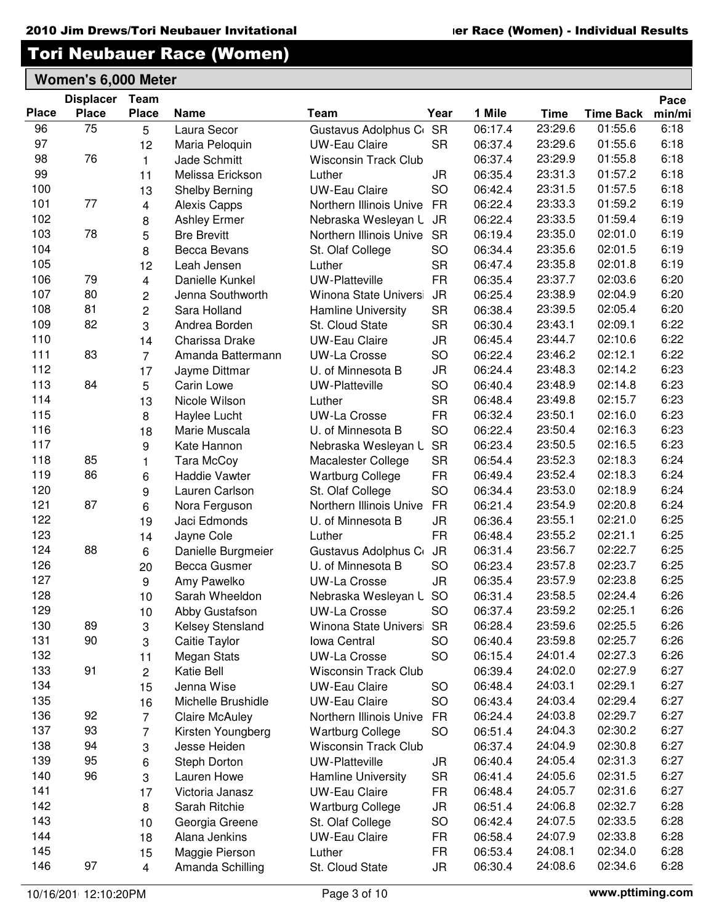|              | <b>Displacer</b> | Team                    |                       |                             |           |         |             |                  | Pace   |
|--------------|------------------|-------------------------|-----------------------|-----------------------------|-----------|---------|-------------|------------------|--------|
| <b>Place</b> | <b>Place</b>     | <b>Place</b>            | <b>Name</b>           | Team                        | Year      | 1 Mile  | <b>Time</b> | <b>Time Back</b> | min/mi |
| 96           | 75               | 5                       | Laura Secor           | Gustavus Adolphus C         | <b>SR</b> | 06:17.4 | 23:29.6     | 01:55.6          | 6:18   |
| 97           |                  | 12                      | Maria Peloquin        | <b>UW-Eau Claire</b>        | <b>SR</b> | 06:37.4 | 23:29.6     | 01:55.6          | 6:18   |
| 98           | 76               | $\mathbf{1}$            | Jade Schmitt          | <b>Wisconsin Track Club</b> |           | 06:37.4 | 23:29.9     | 01:55.8          | 6:18   |
| 99           |                  | 11                      | Melissa Erickson      | Luther                      | JR        | 06:35.4 | 23:31.3     | 01:57.2          | 6:18   |
| 100          |                  | 13                      | Shelby Berning        | <b>UW-Eau Claire</b>        | <b>SO</b> | 06:42.4 | 23:31.5     | 01:57.5          | 6:18   |
| 101          | 77               | $\overline{4}$          | <b>Alexis Capps</b>   | Northern Illinois Unive     | <b>FR</b> | 06:22.4 | 23:33.3     | 01:59.2          | 6:19   |
| 102          |                  | 8                       | <b>Ashley Ermer</b>   | Nebraska Wesleyan L         | <b>JR</b> | 06:22.4 | 23:33.5     | 01:59.4          | 6:19   |
| 103          | 78               | 5                       | <b>Bre Brevitt</b>    | Northern Illinois Unive     | <b>SR</b> | 06:19.4 | 23:35.0     | 02:01.0          | 6:19   |
| 104          |                  | 8                       | <b>Becca Bevans</b>   | St. Olaf College            | <b>SO</b> | 06:34.4 | 23:35.6     | 02:01.5          | 6:19   |
| 105          |                  | 12                      | Leah Jensen           | Luther                      | <b>SR</b> | 06:47.4 | 23:35.8     | 02:01.8          | 6:19   |
| 106          | 79               | $\overline{4}$          | Danielle Kunkel       | <b>UW-Platteville</b>       | <b>FR</b> | 06:35.4 | 23:37.7     | 02:03.6          | 6:20   |
| 107          | 80               | $\overline{\mathbf{c}}$ | Jenna Southworth      | Winona State Univers        | <b>JR</b> | 06:25.4 | 23:38.9     | 02:04.9          | 6:20   |
| 108          | 81               | $\overline{c}$          | Sara Holland          | <b>Hamline University</b>   | <b>SR</b> | 06:38.4 | 23:39.5     | 02:05.4          | 6:20   |
| 109          | 82               | 3                       | Andrea Borden         | St. Cloud State             | <b>SR</b> | 06:30.4 | 23:43.1     | 02:09.1          | 6:22   |
| 110          |                  | 14                      | Charissa Drake        | <b>UW-Eau Claire</b>        | <b>JR</b> | 06:45.4 | 23:44.7     | 02:10.6          | 6:22   |
| 111          | 83               | $\overline{7}$          | Amanda Battermann     | <b>UW-La Crosse</b>         | <b>SO</b> | 06:22.4 | 23:46.2     | 02:12.1          | 6:22   |
| 112          |                  | 17                      | Jayme Dittmar         | U. of Minnesota B           | <b>JR</b> | 06:24.4 | 23:48.3     | 02:14.2          | 6:23   |
| 113          | 84               | 5                       | <b>Carin Lowe</b>     | <b>UW-Platteville</b>       | <b>SO</b> | 06:40.4 | 23:48.9     | 02:14.8          | 6:23   |
| 114          |                  | 13                      | Nicole Wilson         | Luther                      | <b>SR</b> | 06:48.4 | 23:49.8     | 02:15.7          | 6:23   |
| 115          |                  | 8                       | Haylee Lucht          | <b>UW-La Crosse</b>         | <b>FR</b> | 06:32.4 | 23:50.1     | 02:16.0          | 6:23   |
| 116          |                  | 18                      | Marie Muscala         | U. of Minnesota B           | <b>SO</b> | 06:22.4 | 23:50.4     | 02:16.3          | 6:23   |
| 117          |                  | 9                       | Kate Hannon           | Nebraska Wesleyan L         | <b>SR</b> | 06:23.4 | 23:50.5     | 02:16.5          | 6:23   |
| 118          | 85               | 1                       | Tara McCoy            | Macalester College          | <b>SR</b> | 06:54.4 | 23:52.3     | 02:18.3          | 6:24   |
| 119          | 86               | 6                       | <b>Haddie Vawter</b>  | <b>Wartburg College</b>     | <b>FR</b> | 06:49.4 | 23:52.4     | 02:18.3          | 6:24   |
| 120          |                  | 9                       | Lauren Carlson        | St. Olaf College            | <b>SO</b> | 06:34.4 | 23:53.0     | 02:18.9          | 6:24   |
| 121          | 87               | 6                       | Nora Ferguson         | Northern Illinois Unive     | <b>FR</b> | 06:21.4 | 23:54.9     | 02:20.8          | 6:24   |
| 122          |                  | 19                      | Jaci Edmonds          | U. of Minnesota B           | <b>JR</b> | 06:36.4 | 23:55.1     | 02:21.0          | 6:25   |
| 123          |                  | 14                      | Jayne Cole            | Luther                      | <b>FR</b> | 06:48.4 | 23:55.2     | 02:21.1          | 6:25   |
| 124          | 88               | 6                       | Danielle Burgmeier    | Gustavus Adolphus C         | <b>JR</b> | 06:31.4 | 23:56.7     | 02:22.7          | 6:25   |
| 126          |                  | 20                      | Becca Gusmer          | U. of Minnesota B           | <b>SO</b> | 06:23.4 | 23:57.8     | 02:23.7          | 6:25   |
| 127          |                  | 9                       | Amy Pawelko           | <b>UW-La Crosse</b>         | JR        | 06:35.4 | 23:57.9     | 02:23.8          | 6:25   |
| 128          |                  | 10                      | Sarah Wheeldon        | Nebraska Wesleyan L         | <b>SO</b> | 06:31.4 | 23:58.5     | 02:24.4          | 6:26   |
| 129          |                  | 10                      | Abby Gustafson        | <b>UW-La Crosse</b>         | <b>SO</b> | 06:37.4 | 23:59.2     | 02:25.1          | 6:26   |
| 130          | 89               | 3                       | Kelsey Stensland      | Winona State Universi       | <b>SR</b> | 06:28.4 | 23:59.6     | 02:25.5          | 6:26   |
| 131          | 90               | 3                       | Caitie Taylor         | Iowa Central                | <b>SO</b> | 06:40.4 | 23:59.8     | 02:25.7          | 6:26   |
| 132          |                  | 11                      | <b>Megan Stats</b>    | <b>UW-La Crosse</b>         | <b>SO</b> | 06:15.4 | 24:01.4     | 02:27.3          | 6:26   |
| 133          | 91               | $\overline{2}$          | Katie Bell            | <b>Wisconsin Track Club</b> |           | 06:39.4 | 24:02.0     | 02:27.9          | 6:27   |
| 134          |                  | 15                      | Jenna Wise            | <b>UW-Eau Claire</b>        | <b>SO</b> | 06:48.4 | 24:03.1     | 02:29.1          | 6:27   |
| 135          |                  | 16                      | Michelle Brushidle    | <b>UW-Eau Claire</b>        | <b>SO</b> | 06:43.4 | 24:03.4     | 02:29.4          | 6:27   |
| 136          | 92               | $\overline{7}$          | <b>Claire McAuley</b> | Northern Illinois Unive     | <b>FR</b> | 06:24.4 | 24:03.8     | 02:29.7          | 6:27   |
| 137          | 93               | $\overline{7}$          | Kirsten Youngberg     | <b>Wartburg College</b>     | <b>SO</b> | 06:51.4 | 24:04.3     | 02:30.2          | 6:27   |
| 138          | 94               | 3                       | Jesse Heiden          | <b>Wisconsin Track Club</b> |           | 06:37.4 | 24:04.9     | 02:30.8          | 6:27   |
| 139          | 95               | 6                       | Steph Dorton          | <b>UW-Platteville</b>       | <b>JR</b> | 06:40.4 | 24:05.4     | 02:31.3          | 6:27   |
| 140          | 96               | 3                       | Lauren Howe           | <b>Hamline University</b>   | <b>SR</b> | 06:41.4 | 24:05.6     | 02:31.5          | 6:27   |
| 141          |                  | 17                      | Victoria Janasz       | <b>UW-Eau Claire</b>        | <b>FR</b> | 06:48.4 | 24:05.7     | 02:31.6          | 6:27   |
| 142          |                  | 8                       | Sarah Ritchie         | <b>Wartburg College</b>     | JR        | 06:51.4 | 24:06.8     | 02:32.7          | 6:28   |
| 143          |                  | 10                      | Georgia Greene        | St. Olaf College            | <b>SO</b> | 06:42.4 | 24:07.5     | 02:33.5          | 6:28   |
| 144          |                  | 18                      | Alana Jenkins         | <b>UW-Eau Claire</b>        | FR        | 06:58.4 | 24:07.9     | 02:33.8          | 6:28   |
| 145          |                  | 15                      | Maggie Pierson        | Luther                      | <b>FR</b> | 06:53.4 | 24:08.1     | 02:34.0          | 6:28   |
| 146          | 97               | $\overline{4}$          | Amanda Schilling      | St. Cloud State             | JR        | 06:30.4 | 24:08.6     | 02:34.6          | 6:28   |
|              |                  |                         |                       |                             |           |         |             |                  |        |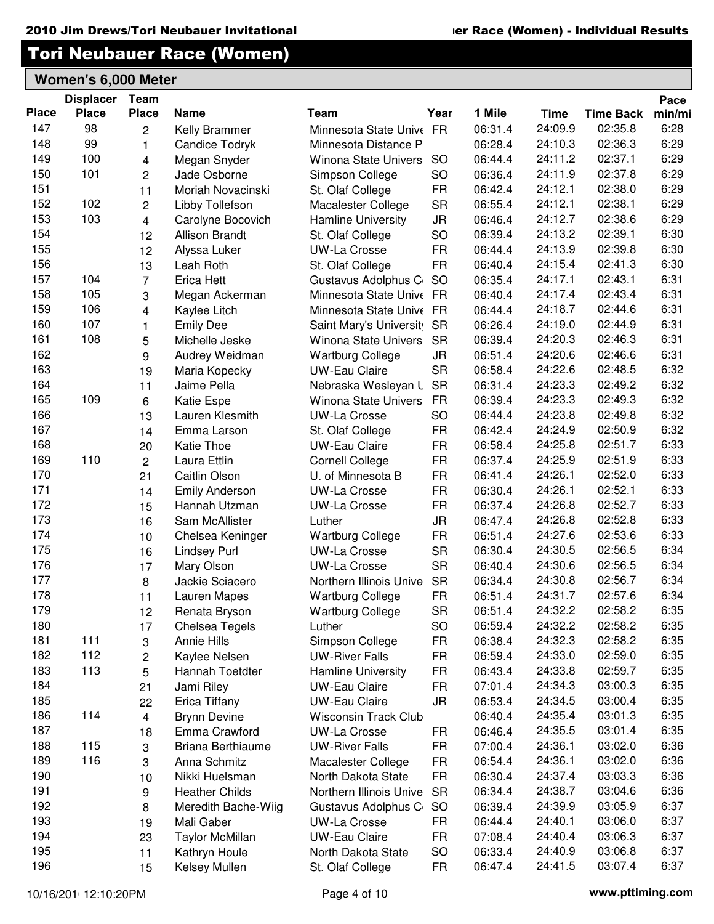|              | <b>Displacer</b> | Team           |                        |                            |           |         |         |                  | Pace   |
|--------------|------------------|----------------|------------------------|----------------------------|-----------|---------|---------|------------------|--------|
| <b>Place</b> | <b>Place</b>     | <b>Place</b>   | <b>Name</b>            | Team                       | Year      | 1 Mile  | Time    | <b>Time Back</b> | min/mi |
| 147          | 98               | $\overline{c}$ | Kelly Brammer          | Minnesota State Unive FR   |           | 06:31.4 | 24:09.9 | 02:35.8          | 6:28   |
| 148          | 99               | 1              | <b>Candice Todryk</b>  | Minnesota Distance P       |           | 06:28.4 | 24:10.3 | 02:36.3          | 6:29   |
| 149          | 100              | 4              | Megan Snyder           | Winona State Univers       | <b>SO</b> | 06:44.4 | 24:11.2 | 02:37.1          | 6:29   |
| 150          | 101              | $\overline{c}$ | Jade Osborne           | Simpson College            | SO        | 06:36.4 | 24:11.9 | 02:37.8          | 6:29   |
| 151          |                  | 11             | Moriah Novacinski      | St. Olaf College           | <b>FR</b> | 06:42.4 | 24:12.1 | 02:38.0          | 6:29   |
| 152          | 102              | $\overline{c}$ | Libby Tollefson        | Macalester College         | <b>SR</b> | 06:55.4 | 24:12.1 | 02:38.1          | 6:29   |
| 153          | 103              | 4              | Carolyne Bocovich      | Hamline University         | <b>JR</b> | 06:46.4 | 24:12.7 | 02:38.6          | 6:29   |
| 154          |                  | 12             | <b>Allison Brandt</b>  | St. Olaf College           | SO        | 06:39.4 | 24:13.2 | 02:39.1          | 6:30   |
| 155          |                  | 12             | Alyssa Luker           | <b>UW-La Crosse</b>        | <b>FR</b> | 06:44.4 | 24:13.9 | 02:39.8          | 6:30   |
| 156          |                  | 13             | Leah Roth              | St. Olaf College           | <b>FR</b> | 06:40.4 | 24:15.4 | 02:41.3          | 6:30   |
| 157          | 104              | $\overline{7}$ | Erica Hett             | Gustavus Adolphus C        | <b>SO</b> | 06:35.4 | 24:17.1 | 02:43.1          | 6:31   |
| 158          | 105              | 3              | Megan Ackerman         | Minnesota State Unive FR   |           | 06:40.4 | 24:17.4 | 02:43.4          | 6:31   |
| 159          | 106              | 4              | Kaylee Litch           | Minnesota State Unive FR   |           | 06:44.4 | 24:18.7 | 02:44.6          | 6:31   |
| 160          | 107              | $\mathbf{1}$   | <b>Emily Dee</b>       | Saint Mary's University SR |           | 06:26.4 | 24:19.0 | 02:44.9          | 6:31   |
| 161          | 108              | 5              | Michelle Jeske         | Winona State Universi      | <b>SR</b> | 06:39.4 | 24:20.3 | 02:46.3          | 6:31   |
| 162          |                  | 9              | Audrey Weidman         | <b>Wartburg College</b>    | JR        | 06:51.4 | 24:20.6 | 02:46.6          | 6:31   |
| 163          |                  | 19             | Maria Kopecky          | <b>UW-Eau Claire</b>       | <b>SR</b> | 06:58.4 | 24:22.6 | 02:48.5          | 6:32   |
| 164          |                  | 11             | Jaime Pella            | Nebraska Wesleyan L        | <b>SR</b> | 06:31.4 | 24:23.3 | 02:49.2          | 6:32   |
| 165          | 109              | 6              | Katie Espe             | Winona State Universi      | <b>FR</b> | 06:39.4 | 24:23.3 | 02:49.3          | 6:32   |
| 166          |                  | 13             | Lauren Klesmith        | <b>UW-La Crosse</b>        | SO        | 06:44.4 | 24:23.8 | 02:49.8          | 6:32   |
| 167          |                  | 14             | Emma Larson            | St. Olaf College           | <b>FR</b> | 06:42.4 | 24:24.9 | 02:50.9          | 6:32   |
| 168          |                  | 20             | <b>Katie Thoe</b>      | <b>UW-Eau Claire</b>       | <b>FR</b> | 06:58.4 | 24:25.8 | 02:51.7          | 6:33   |
| 169          | 110              | $\overline{c}$ | Laura Ettlin           | <b>Cornell College</b>     | <b>FR</b> | 06:37.4 | 24:25.9 | 02:51.9          | 6:33   |
| 170          |                  | 21             | Caitlin Olson          | U. of Minnesota B          | <b>FR</b> | 06:41.4 | 24:26.1 | 02:52.0          | 6:33   |
| 171          |                  | 14             | <b>Emily Anderson</b>  | <b>UW-La Crosse</b>        | <b>FR</b> | 06:30.4 | 24:26.1 | 02:52.1          | 6:33   |
| 172          |                  | 15             | Hannah Utzman          | <b>UW-La Crosse</b>        | <b>FR</b> | 06:37.4 | 24:26.8 | 02:52.7          | 6:33   |
| 173          |                  | 16             | Sam McAllister         | Luther                     | <b>JR</b> | 06:47.4 | 24:26.8 | 02:52.8          | 6:33   |
| 174          |                  | 10             | Chelsea Keninger       | <b>Wartburg College</b>    | <b>FR</b> | 06:51.4 | 24:27.6 | 02:53.6          | 6:33   |
| 175          |                  | 16             | <b>Lindsey Purl</b>    | <b>UW-La Crosse</b>        | <b>SR</b> | 06:30.4 | 24:30.5 | 02:56.5          | 6:34   |
| 176          |                  | 17             | Mary Olson             | <b>UW-La Crosse</b>        | <b>SR</b> | 06:40.4 | 24:30.6 | 02:56.5          | 6:34   |
| 177          |                  | 8              | Jackie Sciacero        | Northern Illinois Unive    | <b>SR</b> | 06:34.4 | 24:30.8 | 02:56.7          | 6:34   |
| 178          |                  | 11             | Lauren Mapes           | <b>Wartburg College</b>    | <b>FR</b> | 06:51.4 | 24:31.7 | 02:57.6          | 6:34   |
| 179          |                  | 12             | Renata Bryson          | <b>Wartburg College</b>    | <b>SR</b> | 06:51.4 | 24:32.2 | 02:58.2          | 6:35   |
| 180          |                  | 17             | Chelsea Tegels         | Luther                     | SO        | 06:59.4 | 24:32.2 | 02:58.2          | 6:35   |
| 181          | 111              | 3              | <b>Annie Hills</b>     | Simpson College            | <b>FR</b> | 06:38.4 | 24:32.3 | 02:58.2          | 6:35   |
| 182          | 112              | 2              | Kaylee Nelsen          | <b>UW-River Falls</b>      | <b>FR</b> | 06:59.4 | 24:33.0 | 02:59.0          | 6:35   |
| 183          | 113              | 5              | Hannah Toetdter        | Hamline University         | <b>FR</b> | 06:43.4 | 24:33.8 | 02:59.7          | 6:35   |
| 184          |                  | 21             | Jami Riley             | <b>UW-Eau Claire</b>       | <b>FR</b> | 07:01.4 | 24:34.3 | 03:00.3          | 6:35   |
| 185          |                  | 22             | Erica Tiffany          | <b>UW-Eau Claire</b>       | JR        | 06:53.4 | 24:34.5 | 03:00.4          | 6:35   |
| 186          | 114              | 4              | <b>Brynn Devine</b>    | Wisconsin Track Club       |           | 06:40.4 | 24:35.4 | 03:01.3          | 6:35   |
| 187          |                  | 18             | Emma Crawford          | <b>UW-La Crosse</b>        | <b>FR</b> | 06:46.4 | 24:35.5 | 03:01.4          | 6:35   |
| 188          | 115              | 3              | Briana Berthiaume      | <b>UW-River Falls</b>      | <b>FR</b> | 07:00.4 | 24:36.1 | 03:02.0          | 6:36   |
| 189          | 116              | 3              | Anna Schmitz           | Macalester College         | <b>FR</b> | 06:54.4 | 24:36.1 | 03:02.0          | 6:36   |
| 190          |                  | 10             | Nikki Huelsman         | North Dakota State         | <b>FR</b> | 06:30.4 | 24:37.4 | 03:03.3          | 6:36   |
| 191          |                  | 9              | <b>Heather Childs</b>  | Northern Illinois Unive    | <b>SR</b> | 06:34.4 | 24:38.7 | 03:04.6          | 6:36   |
| 192          |                  | 8              | Meredith Bache-Wiig    | Gustavus Adolphus C        | <b>SO</b> | 06:39.4 | 24:39.9 | 03:05.9          | 6:37   |
| 193          |                  | 19             | Mali Gaber             | <b>UW-La Crosse</b>        | <b>FR</b> | 06:44.4 | 24:40.1 | 03:06.0          | 6:37   |
| 194          |                  | 23             | <b>Taylor McMillan</b> | <b>UW-Eau Claire</b>       | <b>FR</b> | 07:08.4 | 24:40.4 | 03:06.3          | 6:37   |
| 195          |                  | 11             | Kathryn Houle          | North Dakota State         | SO        | 06:33.4 | 24:40.9 | 03:06.8          | 6:37   |
| 196          |                  | 15             | Kelsey Mullen          | St. Olaf College           | <b>FR</b> | 06:47.4 | 24:41.5 | 03:07.4          | 6:37   |
|              |                  |                |                        |                            |           |         |         |                  |        |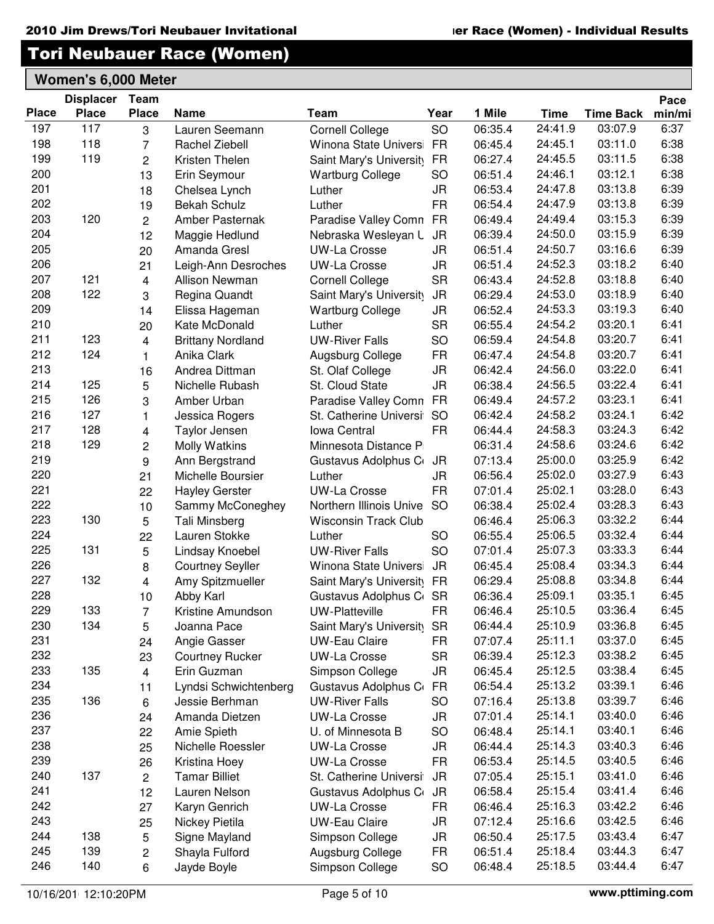Pace

## Tori Neubauer Race (Women)

|              | <b>Displacer</b> | Team           |                          |                             |           |                    |         |                  | Pace   |
|--------------|------------------|----------------|--------------------------|-----------------------------|-----------|--------------------|---------|------------------|--------|
| <b>Place</b> | <b>Place</b>     | <b>Place</b>   | <b>Name</b>              | Team                        | Year      | 1 Mile             | Time    | <b>Time Back</b> | min/mi |
| 197          | 117              | 3              | Lauren Seemann           | <b>Cornell College</b>      | SO        | 06:35.4            | 24:41.9 | 03:07.9          | 6:37   |
| 198          | 118              | $\overline{7}$ | Rachel Ziebell           | Winona State Univers        | <b>FR</b> | 06:45.4            | 24:45.1 | 03:11.0          | 6:38   |
| 199          | 119              | 2              | Kristen Thelen           | Saint Mary's University     | <b>FR</b> | 06:27.4            | 24:45.5 | 03:11.5          | 6:38   |
| 200          |                  | 13             | Erin Seymour             | <b>Wartburg College</b>     | SO        | 06:51.4            | 24:46.1 | 03:12.1          | 6:38   |
| 201          |                  | 18             | Chelsea Lynch            | Luther                      | JR        | 06:53.4            | 24:47.8 | 03:13.8          | 6:39   |
| 202          |                  | 19             | <b>Bekah Schulz</b>      | Luther                      | <b>FR</b> | 06:54.4            | 24:47.9 | 03:13.8          | 6:39   |
| 203          | 120              | $\overline{c}$ | Amber Pasternak          | Paradise Valley Comn        | <b>FR</b> | 06:49.4            | 24:49.4 | 03:15.3          | 6:39   |
| 204          |                  | 12             | Maggie Hedlund           | Nebraska Wesleyan L         | <b>JR</b> | 06:39.4            | 24:50.0 | 03:15.9          | 6:39   |
| 205          |                  | 20             | Amanda Gresl             | <b>UW-La Crosse</b>         | JR        | 06:51.4            | 24:50.7 | 03:16.6          | 6:39   |
| 206          |                  | 21             | Leigh-Ann Desroches      | <b>UW-La Crosse</b>         | <b>JR</b> | 06:51.4            | 24:52.3 | 03:18.2          | 6:40   |
| 207          | 121              | 4              | <b>Allison Newman</b>    | <b>Cornell College</b>      | <b>SR</b> | 06:43.4            | 24:52.8 | 03:18.8          | 6:40   |
| 208          | 122              | 3              | Regina Quandt            | Saint Mary's University     | <b>JR</b> | 06:29.4            | 24:53.0 | 03:18.9          | 6:40   |
| 209          |                  | 14             | Elissa Hageman           | <b>Wartburg College</b>     | <b>JR</b> | 06:52.4            | 24:53.3 | 03:19.3          | 6:40   |
| 210          |                  | 20             | Kate McDonald            | Luther                      | <b>SR</b> | 06:55.4            | 24:54.2 | 03:20.1          | 6:41   |
| 211          | 123              | 4              | <b>Brittany Nordland</b> | <b>UW-River Falls</b>       | SO        | 06:59.4            | 24:54.8 | 03:20.7          | 6:41   |
| 212          | 124              | 1              | Anika Clark              | Augsburg College            | <b>FR</b> | 06:47.4            | 24:54.8 | 03:20.7          | 6:41   |
| 213          |                  | 16             | Andrea Dittman           | St. Olaf College            | JR        | 06:42.4            | 24:56.0 | 03:22.0          | 6:41   |
| 214          | 125              | 5              | Nichelle Rubash          | St. Cloud State             | <b>JR</b> | 06:38.4            | 24:56.5 | 03:22.4          | 6:41   |
| 215          | 126              | 3              | Amber Urban              | Paradise Valley Comn        | <b>FR</b> | 06:49.4            | 24:57.2 | 03:23.1          | 6:41   |
| 216          | 127              | $\mathbf{1}$   | Jessica Rogers           | St. Catherine Universi      | <b>SO</b> | 06:42.4            | 24:58.2 | 03:24.1          | 6:42   |
| 217          | 128              | 4              | Taylor Jensen            | <b>Iowa Central</b>         | <b>FR</b> | 06:44.4            | 24:58.3 | 03:24.3          | 6:42   |
| 218          | 129              | $\overline{c}$ | <b>Molly Watkins</b>     | Minnesota Distance P        |           | 06:31.4            | 24:58.6 | 03:24.6          | 6:42   |
| 219          |                  | 9              | Ann Bergstrand           | Gustavus Adolphus C         | JR        | 07:13.4            | 25:00.0 | 03:25.9          | 6:42   |
| 220          |                  | 21             | Michelle Boursier        | Luther                      | JR        | 06:56.4            | 25:02.0 | 03:27.9          | 6:43   |
| 221          |                  | 22             | <b>Hayley Gerster</b>    | <b>UW-La Crosse</b>         | <b>FR</b> | 07:01.4            | 25:02.1 | 03:28.0          | 6:43   |
| 222          |                  | 10             | Sammy McConeghey         | Northern Illinois Unive     | <b>SO</b> | 06:38.4            | 25:02.4 | 03:28.3          | 6:43   |
| 223          | 130              | 5              | Tali Minsberg            | <b>Wisconsin Track Club</b> |           | 06:46.4            | 25:06.3 | 03:32.2          | 6:44   |
| 224          |                  | 22             | Lauren Stokke            | Luther                      | SO        | 06:55.4            | 25:06.5 | 03:32.4          | 6:44   |
| 225          | 131              | 5              | Lindsay Knoebel          | <b>UW-River Falls</b>       | SO        | 07:01.4            | 25:07.3 | 03:33.3          | 6:44   |
| 226          |                  | 8              | <b>Courtney Seyller</b>  | Winona State Univers        | <b>JR</b> | 06:45.4            | 25:08.4 | 03:34.3          | 6:44   |
| 227          | 132              | 4              | Amy Spitzmueller         | Saint Mary's University     | <b>FR</b> | 06:29.4            | 25:08.8 | 03:34.8          | 6:44   |
| 228          |                  | 10             | Abby Karl                | Gustavus Adolphus C         | <b>SR</b> | 06:36.4            | 25:09.1 | 03:35.1          | 6:45   |
| 229          | 133              | $\overline{7}$ | Kristine Amundson        | <b>UW-Platteville</b>       | <b>FR</b> | 06:46.4            | 25:10.5 | 03:36.4          | 6:45   |
| 230          | 134              | 5              | Joanna Pace              | Saint Mary's University     | SR        | 06:44.4            | 25:10.9 | 03:36.8          | 6:45   |
| 231          |                  | 24             | Angie Gasser             | <b>UW-Eau Claire</b>        | <b>FR</b> | 07:07.4            | 25:11.1 | 03:37.0          | 6:45   |
| 232          |                  | 23             | <b>Courtney Rucker</b>   | <b>UW-La Crosse</b>         | <b>SR</b> | 06:39.4            | 25:12.3 | 03:38.2          | 6:45   |
| 233          | 135              | $\overline{4}$ | Erin Guzman              | Simpson College             | JR        | 06:45.4            | 25:12.5 | 03:38.4          | 6:45   |
| 234          |                  | 11             | Lyndsi Schwichtenberg    | Gustavus Adolphus C         | <b>FR</b> | 06:54.4            | 25:13.2 | 03:39.1          | 6:46   |
| 235          | 136              | 6              | Jessie Berhman           | <b>UW-River Falls</b>       | SO        | 07:16.4            | 25:13.8 | 03:39.7          | 6:46   |
| 236          |                  | 24             | Amanda Dietzen           | <b>UW-La Crosse</b>         | JR        | 07:01.4            | 25:14.1 | 03:40.0          | 6:46   |
| 237          |                  | 22             | Amie Spieth              | U. of Minnesota B           | SO        | 06:48.4            | 25:14.1 | 03:40.1          | 6:46   |
| 238          |                  | 25             | Nichelle Roessler        | <b>UW-La Crosse</b>         | <b>JR</b> | 06:44.4            | 25:14.3 | 03:40.3          | 6:46   |
| 239          |                  | 26             | Kristina Hoey            | <b>UW-La Crosse</b>         | <b>FR</b> | 06:53.4            | 25:14.5 | 03:40.5          | 6:46   |
| 240          | 137              | $\overline{2}$ | <b>Tamar Billiet</b>     | St. Catherine Universi      | <b>JR</b> | 07:05.4            | 25:15.1 | 03:41.0          | 6:46   |
| 241          |                  | 12             | Lauren Nelson            |                             | JR        | 06:58.4            | 25:15.4 | 03:41.4          | 6:46   |
| 242          |                  |                |                          | Gustavus Adolphus C         |           |                    | 25:16.3 | 03:42.2          | 6:46   |
| 243          |                  | 27             | Karyn Genrich            | <b>UW-La Crosse</b>         | <b>FR</b> | 06:46.4<br>07:12.4 | 25:16.6 | 03:42.5          | 6:46   |
| 244          | 138              | 25             | Nickey Pietila           | <b>UW-Eau Claire</b>        | JR        |                    | 25:17.5 | 03:43.4          | 6:47   |
| 245          | 139              | 5              | Signe Mayland            | Simpson College             | JR        | 06:50.4            |         | 03:44.3          |        |
|              |                  | 2              | Shayla Fulford           | Augsburg College            | <b>FR</b> | 06:51.4            | 25:18.4 |                  | 6:47   |
| 246          | 140              | 6              | Jayde Boyle              | Simpson College             | SO        | 06:48.4            | 25:18.5 | 03:44.4          | 6:47   |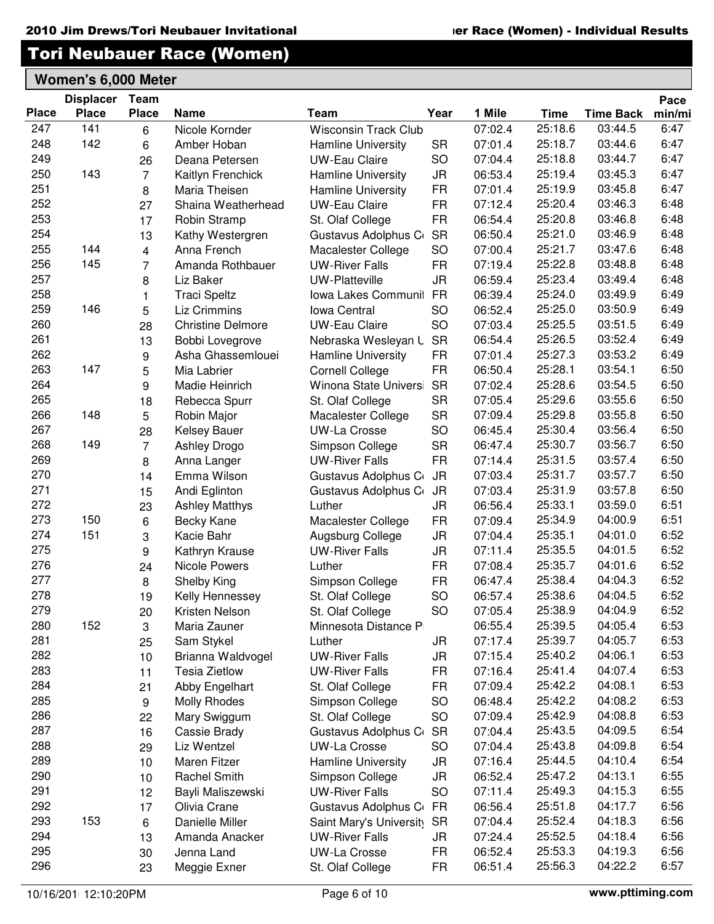|              | <b>Displacer</b> | Team           |                          |                             |           |         |             |                  | Pace   |
|--------------|------------------|----------------|--------------------------|-----------------------------|-----------|---------|-------------|------------------|--------|
| <b>Place</b> | <b>Place</b>     | <b>Place</b>   | <b>Name</b>              | Team                        | Year      | 1 Mile  | <b>Time</b> | <b>Time Back</b> | min/mi |
| 247          | 141              | 6              | Nicole Kornder           | <b>Wisconsin Track Club</b> |           | 07:02.4 | 25:18.6     | 03:44.5          | 6:47   |
| 248          | 142              | 6              | Amber Hoban              | <b>Hamline University</b>   | <b>SR</b> | 07:01.4 | 25:18.7     | 03:44.6          | 6:47   |
| 249          |                  | 26             | Deana Petersen           | <b>UW-Eau Claire</b>        | SO        | 07:04.4 | 25:18.8     | 03:44.7          | 6:47   |
| 250          | 143              | $\overline{7}$ | Kaitlyn Frenchick        | Hamline University          | JR        | 06:53.4 | 25:19.4     | 03:45.3          | 6:47   |
| 251          |                  | 8              | Maria Theisen            | Hamline University          | <b>FR</b> | 07:01.4 | 25:19.9     | 03:45.8          | 6:47   |
| 252          |                  | 27             | Shaina Weatherhead       | <b>UW-Eau Claire</b>        | <b>FR</b> | 07:12.4 | 25:20.4     | 03:46.3          | 6:48   |
| 253          |                  | 17             | Robin Stramp             | St. Olaf College            | <b>FR</b> | 06:54.4 | 25:20.8     | 03:46.8          | 6:48   |
| 254          |                  | 13             | Kathy Westergren         | Gustavus Adolphus C         | <b>SR</b> | 06:50.4 | 25:21.0     | 03:46.9          | 6:48   |
| 255          | 144              | $\overline{4}$ | Anna French              | Macalester College          | SO        | 07:00.4 | 25:21.7     | 03:47.6          | 6:48   |
| 256          | 145              | $\overline{7}$ | Amanda Rothbauer         | <b>UW-River Falls</b>       | <b>FR</b> | 07:19.4 | 25:22.8     | 03:48.8          | 6:48   |
| 257          |                  | 8              | Liz Baker                | <b>UW-Platteville</b>       | <b>JR</b> | 06:59.4 | 25:23.4     | 03:49.4          | 6:48   |
| 258          |                  | 1              | <b>Traci Speltz</b>      | Iowa Lakes Communit         | <b>FR</b> | 06:39.4 | 25:24.0     | 03:49.9          | 6:49   |
| 259          | 146              | 5              | Liz Crimmins             | Iowa Central                | SO        | 06:52.4 | 25:25.0     | 03:50.9          | 6:49   |
| 260          |                  | 28             | <b>Christine Delmore</b> | <b>UW-Eau Claire</b>        | SO        | 07:03.4 | 25:25.5     | 03:51.5          | 6:49   |
| 261          |                  | 13             | Bobbi Lovegrove          | Nebraska Wesleyan L         | <b>SR</b> | 06:54.4 | 25:26.5     | 03:52.4          | 6:49   |
| 262          |                  | 9              | Asha Ghassemlouei        | Hamline University          | <b>FR</b> | 07:01.4 | 25:27.3     | 03:53.2          | 6:49   |
| 263          | 147              | 5              | Mia Labrier              | <b>Cornell College</b>      | <b>FR</b> | 06:50.4 | 25:28.1     | 03:54.1          | 6:50   |
| 264          |                  | 9              | Madie Heinrich           | Winona State Universi       | <b>SR</b> | 07:02.4 | 25:28.6     | 03:54.5          | 6:50   |
| 265          |                  | 18             | Rebecca Spurr            | St. Olaf College            | <b>SR</b> | 07:05.4 | 25:29.6     | 03:55.6          | 6:50   |
| 266          | 148              | 5              | Robin Major              | Macalester College          | <b>SR</b> | 07:09.4 | 25:29.8     | 03:55.8          | 6:50   |
| 267          |                  | 28             | <b>Kelsey Bauer</b>      | <b>UW-La Crosse</b>         | SO        | 06:45.4 | 25:30.4     | 03:56.4          | 6:50   |
| 268          | 149              | $\overline{7}$ | Ashley Drogo             | Simpson College             | <b>SR</b> | 06:47.4 | 25:30.7     | 03:56.7          | 6:50   |
| 269          |                  | 8              | Anna Langer              | <b>UW-River Falls</b>       | <b>FR</b> | 07:14.4 | 25:31.5     | 03:57.4          | 6:50   |
| 270          |                  | 14             | Emma Wilson              | Gustavus Adolphus C         | <b>JR</b> | 07:03.4 | 25:31.7     | 03:57.7          | 6:50   |
| 271          |                  | 15             | Andi Eglinton            | Gustavus Adolphus C         | <b>JR</b> | 07:03.4 | 25:31.9     | 03:57.8          | 6:50   |
| 272          |                  | 23             | <b>Ashley Matthys</b>    | Luther                      | <b>JR</b> | 06:56.4 | 25:33.1     | 03:59.0          | 6:51   |
| 273          | 150              | 6              | Becky Kane               | Macalester College          | <b>FR</b> | 07:09.4 | 25:34.9     | 04:00.9          | 6:51   |
| 274          | 151              | 3              | Kacie Bahr               | Augsburg College            | <b>JR</b> | 07:04.4 | 25:35.1     | 04:01.0          | 6:52   |
| 275          |                  | 9              | Kathryn Krause           | <b>UW-River Falls</b>       | JR        | 07:11.4 | 25:35.5     | 04:01.5          | 6:52   |
| 276          |                  | 24             | <b>Nicole Powers</b>     | Luther                      | <b>FR</b> | 07:08.4 | 25:35.7     | 04:01.6          | 6:52   |
| 277          |                  | $\,8\,$        | Shelby King              | Simpson College             | <b>FR</b> | 06:47.4 | 25:38.4     | 04:04.3          | 6:52   |
| 278          |                  | 19             | Kelly Hennessey          | St. Olaf College            | SO        | 06:57.4 | 25:38.6     | 04:04.5          | 6:52   |
| 279          |                  | 20             | Kristen Nelson           | St. Olaf College            | SO        | 07:05.4 | 25:38.9     | 04:04.9          | 6:52   |
| 280          | 152              | 3              | Maria Zauner             | Minnesota Distance P        |           | 06:55.4 | 25:39.5     | 04:05.4          | 6:53   |
| 281          |                  | 25             | Sam Stykel               | Luther                      | JR        | 07:17.4 | 25:39.7     | 04:05.7          | 6:53   |
| 282          |                  | 10             | Brianna Waldvogel        | <b>UW-River Falls</b>       | JR        | 07:15.4 | 25:40.2     | 04:06.1          | 6:53   |
| 283          |                  | 11             | <b>Tesia Zietlow</b>     | <b>UW-River Falls</b>       | <b>FR</b> | 07:16.4 | 25:41.4     | 04:07.4          | 6:53   |
| 284          |                  | 21             | Abby Engelhart           | St. Olaf College            | <b>FR</b> | 07:09.4 | 25:42.2     | 04:08.1          | 6:53   |
| 285          |                  | 9              | <b>Molly Rhodes</b>      | Simpson College             | SO        | 06:48.4 | 25:42.2     | 04:08.2          | 6:53   |
| 286          |                  | 22             | Mary Swiggum             | St. Olaf College            | SO        | 07:09.4 | 25:42.9     | 04:08.8          | 6:53   |
| 287          |                  | 16             | Cassie Brady             | Gustavus Adolphus C         | <b>SR</b> | 07:04.4 | 25:43.5     | 04:09.5          | 6:54   |
| 288          |                  | 29             | Liz Wentzel              | <b>UW-La Crosse</b>         | SO        | 07:04.4 | 25:43.8     | 04:09.8          | 6:54   |
| 289          |                  | 10             | Maren Fitzer             | Hamline University          | JR        | 07:16.4 | 25:44.5     | 04:10.4          | 6:54   |
| 290          |                  | 10             | Rachel Smith             | Simpson College             | JR        | 06:52.4 | 25:47.2     | 04:13.1          | 6:55   |
| 291          |                  | 12             | Bayli Maliszewski        | <b>UW-River Falls</b>       | SO        | 07:11.4 | 25:49.3     | 04:15.3          | 6:55   |
| 292          |                  | 17             | Olivia Crane             | Gustavus Adolphus C         | <b>FR</b> | 06:56.4 | 25:51.8     | 04:17.7          | 6:56   |
| 293          | 153              | 6              | Danielle Miller          | Saint Mary's University     | <b>SR</b> | 07:04.4 | 25:52.4     | 04:18.3          | 6:56   |
| 294          |                  | 13             | Amanda Anacker           | <b>UW-River Falls</b>       | JR        | 07:24.4 | 25:52.5     | 04:18.4          | 6:56   |
| 295          |                  | 30             | Jenna Land               | <b>UW-La Crosse</b>         | <b>FR</b> | 06:52.4 | 25:53.3     | 04:19.3          | 6:56   |
| 296          |                  | 23             | Meggie Exner             | St. Olaf College            | FR        | 06:51.4 | 25:56.3     | 04:22.2          | 6:57   |
|              |                  |                |                          |                             |           |         |             |                  |        |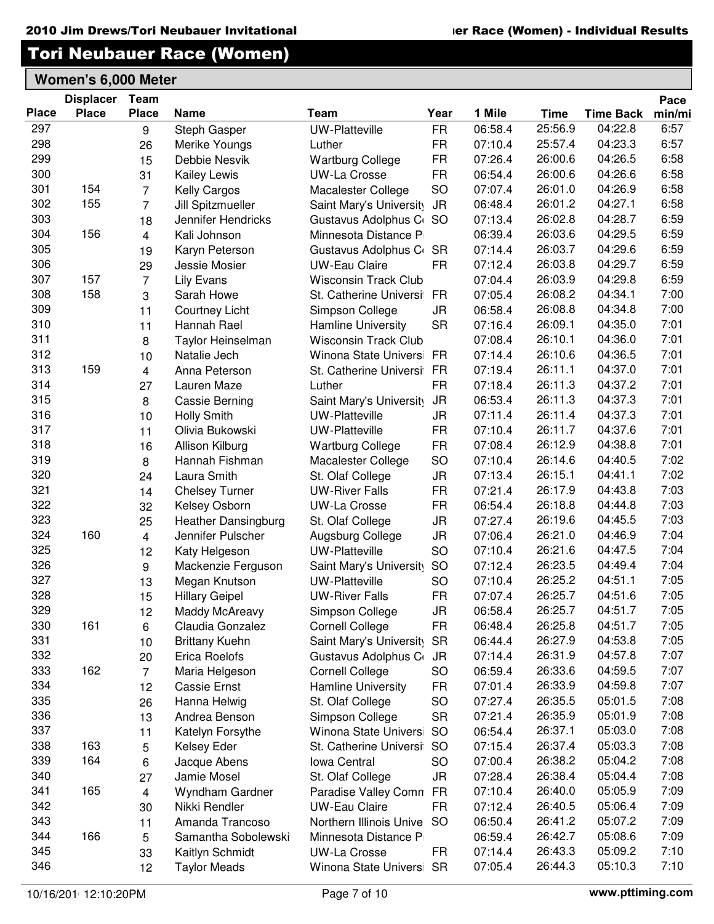|              | <b>Displacer</b> | Team           |                            |                             |           |         |             |                  | Pace   |
|--------------|------------------|----------------|----------------------------|-----------------------------|-----------|---------|-------------|------------------|--------|
| <b>Place</b> | <b>Place</b>     | <b>Place</b>   | <b>Name</b>                | Team                        | Year      | 1 Mile  | <b>Time</b> | <b>Time Back</b> | min/mi |
| 297          |                  | 9              | Steph Gasper               | <b>UW-Platteville</b>       | <b>FR</b> | 06:58.4 | 25:56.9     | 04:22.8          | 6:57   |
| 298          |                  | 26             | Merike Youngs              | Luther                      | <b>FR</b> | 07:10.4 | 25:57.4     | 04:23.3          | 6:57   |
| 299          |                  | 15             | Debbie Nesvik              | <b>Wartburg College</b>     | <b>FR</b> | 07:26.4 | 26:00.6     | 04:26.5          | 6:58   |
| 300          |                  | 31             | Kailey Lewis               | UW-La Crosse                | <b>FR</b> | 06:54.4 | 26:00.6     | 04:26.6          | 6:58   |
| 301          | 154              | $\overline{7}$ | Kelly Cargos               | Macalester College          | <b>SO</b> | 07:07.4 | 26:01.0     | 04:26.9          | 6:58   |
| 302          | 155              | $\overline{7}$ | Jill Spitzmueller          | Saint Mary's University     | <b>JR</b> | 06:48.4 | 26:01.2     | 04:27.1          | 6:58   |
| 303          |                  | 18             | Jennifer Hendricks         | Gustavus Adolphus C         | <b>SO</b> | 07:13.4 | 26:02.8     | 04:28.7          | 6:59   |
| 304          | 156              | $\overline{4}$ | Kali Johnson               | Minnesota Distance P        |           | 06:39.4 | 26:03.6     | 04:29.5          | 6:59   |
| 305          |                  | 19             | Karyn Peterson             | Gustavus Adolphus C         | <b>SR</b> | 07:14.4 | 26:03.7     | 04:29.6          | 6:59   |
| 306          |                  | 29             | <b>Jessie Mosier</b>       | <b>UW-Eau Claire</b>        | FR.       | 07:12.4 | 26:03.8     | 04:29.7          | 6:59   |
| 307          | 157              | $\overline{7}$ | <b>Lily Evans</b>          | <b>Wisconsin Track Club</b> |           | 07:04.4 | 26:03.9     | 04:29.8          | 6:59   |
| 308          | 158              | 3              | Sarah Howe                 | St. Catherine Universi      | <b>FR</b> | 07:05.4 | 26:08.2     | 04:34.1          | 7:00   |
| 309          |                  | 11             | <b>Courtney Licht</b>      | Simpson College             | JR        | 06:58.4 | 26:08.8     | 04:34.8          | 7:00   |
| 310          |                  | 11             | Hannah Rael                | <b>Hamline University</b>   | <b>SR</b> | 07:16.4 | 26:09.1     | 04:35.0          | 7:01   |
| 311          |                  | 8              | <b>Taylor Heinselman</b>   | <b>Wisconsin Track Club</b> |           | 07:08.4 | 26:10.1     | 04:36.0          | 7:01   |
| 312          |                  | 10             | Natalie Jech               | Winona State Univers        | <b>FR</b> | 07:14.4 | 26:10.6     | 04:36.5          | 7:01   |
| 313          | 159              | $\overline{4}$ | Anna Peterson              | St. Catherine Universi      | <b>FR</b> | 07:19.4 | 26:11.1     | 04:37.0          | 7:01   |
| 314          |                  | 27             | Lauren Maze                | Luther                      | <b>FR</b> | 07:18.4 | 26:11.3     | 04:37.2          | 7:01   |
| 315          |                  | 8              | <b>Cassie Berning</b>      | Saint Mary's University     | <b>JR</b> | 06:53.4 | 26:11.3     | 04:37.3          | 7:01   |
| 316          |                  | 10             | <b>Holly Smith</b>         | <b>UW-Platteville</b>       | JR        | 07:11.4 | 26:11.4     | 04:37.3          | 7:01   |
| 317          |                  | 11             | Olivia Bukowski            | UW-Platteville              | <b>FR</b> | 07:10.4 | 26:11.7     | 04:37.6          | 7:01   |
| 318          |                  | 16             | Allison Kilburg            | <b>Wartburg College</b>     | <b>FR</b> | 07:08.4 | 26:12.9     | 04:38.8          | 7:01   |
| 319          |                  | 8              | Hannah Fishman             | Macalester College          | <b>SO</b> | 07:10.4 | 26:14.6     | 04:40.5          | 7:02   |
| 320          |                  | 24             | Laura Smith                | St. Olaf College            | JR        | 07:13.4 | 26:15.1     | 04:41.1          | 7:02   |
| 321          |                  | 14             | <b>Chelsey Turner</b>      | <b>UW-River Falls</b>       | <b>FR</b> | 07:21.4 | 26:17.9     | 04:43.8          | 7:03   |
| 322          |                  | 32             | Kelsey Osborn              | <b>UW-La Crosse</b>         | <b>FR</b> | 06:54.4 | 26:18.8     | 04:44.8          | 7:03   |
| 323          |                  | 25             | <b>Heather Dansingburg</b> | St. Olaf College            | JR        | 07:27.4 | 26:19.6     | 04:45.5          | 7:03   |
| 324          | 160              | $\overline{4}$ | Jennifer Pulscher          | Augsburg College            | JR        | 07:06.4 | 26:21.0     | 04:46.9          | 7:04   |
| 325          |                  | 12             | Katy Helgeson              | <b>UW-Platteville</b>       | <b>SO</b> | 07:10.4 | 26:21.6     | 04:47.5          | 7:04   |
| 326          |                  | 9              | Mackenzie Ferguson         | Saint Mary's University     | <b>SO</b> | 07:12.4 | 26:23.5     | 04:49.4          | 7:04   |
| 327          |                  | 13             | Megan Knutson              | <b>UW-Platteville</b>       | <b>SO</b> | 07:10.4 | 26:25.2     | 04:51.1          | 7:05   |
| 328          |                  | 15             | <b>Hillary Geipel</b>      | <b>UW-River Falls</b>       | <b>FR</b> | 07:07.4 | 26:25.7     | 04:51.6          | 7:05   |
| 329          |                  | 12             | <b>Maddy McAreavy</b>      | Simpson College             | <b>JR</b> | 06:58.4 | 26:25.7     | 04:51.7          | 7:05   |
| 330          | 161              | 6              | Claudia Gonzalez           | <b>Cornell College</b>      | FR        | 06:48.4 | 26:25.8     | 04:51.7          | 7:05   |
| 331          |                  | 10             | <b>Brittany Kuehn</b>      | Saint Mary's University     | <b>SR</b> | 06:44.4 | 26:27.9     | 04:53.8          | 7:05   |
| 332          |                  | 20             | Erica Roelofs              | Gustavus Adolphus C         | <b>JR</b> | 07:14.4 | 26:31.9     | 04:57.8          | 7:07   |
| 333          | 162              | $\overline{7}$ | Maria Helgeson             | <b>Cornell College</b>      | <b>SO</b> | 06:59.4 | 26:33.6     | 04:59.5          | 7:07   |
| 334          |                  | 12             | Cassie Ernst               | Hamline University          | FR        | 07:01.4 | 26:33.9     | 04:59.8          | 7:07   |
| 335          |                  | 26             | Hanna Helwig               | St. Olaf College            | <b>SO</b> | 07:27.4 | 26:35.5     | 05:01.5          | 7:08   |
| 336          |                  | 13             | Andrea Benson              | Simpson College             | <b>SR</b> | 07:21.4 | 26:35.9     | 05:01.9          | 7:08   |
| 337          |                  | 11             | Katelyn Forsythe           | Winona State Universi       | <b>SO</b> | 06:54.4 | 26:37.1     | 05:03.0          | 7:08   |
| 338          | 163              | 5              | Kelsey Eder                | St. Catherine Universi      | <b>SO</b> | 07:15.4 | 26:37.4     | 05:03.3          | 7:08   |
| 339          | 164              | 6              | Jacque Abens               | Iowa Central                | SO        | 07:00.4 | 26:38.2     | 05:04.2          | 7:08   |
| 340          |                  | 27             | Jamie Mosel                | St. Olaf College            | JR        | 07:28.4 | 26:38.4     | 05:04.4          | 7:08   |
| 341          | 165              | 4              | Wyndham Gardner            | Paradise Valley Comn        | <b>FR</b> | 07:10.4 | 26:40.0     | 05:05.9          | 7:09   |
| 342          |                  | 30             | Nikki Rendler              | <b>UW-Eau Claire</b>        | <b>FR</b> | 07:12.4 | 26:40.5     | 05:06.4          | 7:09   |
| 343          |                  | 11             | Amanda Trancoso            | Northern Illinois Unive     | <b>SO</b> | 06:50.4 | 26:41.2     | 05:07.2          | 7:09   |
| 344          | 166              | 5              | Samantha Sobolewski        | Minnesota Distance P        |           | 06:59.4 | 26:42.7     | 05:08.6          | 7:09   |
| 345          |                  | 33             | Kaitlyn Schmidt            | <b>UW-La Crosse</b>         | FR.       | 07:14.4 | 26:43.3     | 05:09.2          | 7:10   |
| 346          |                  | 12             | <b>Taylor Meads</b>        | Winona State Univers        | <b>SR</b> | 07:05.4 | 26:44.3     | 05:10.3          | 7:10   |
|              |                  |                |                            |                             |           |         |             |                  |        |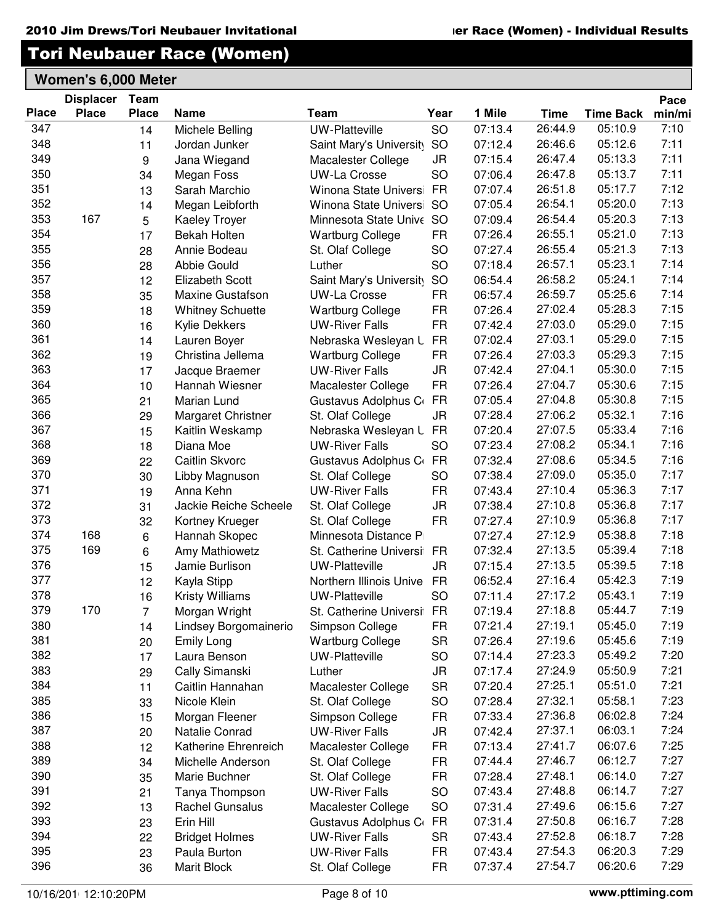|              | <b>Displacer</b> | Team             |                                       |                          |           |         |             |                  | Pace   |
|--------------|------------------|------------------|---------------------------------------|--------------------------|-----------|---------|-------------|------------------|--------|
| <b>Place</b> | <b>Place</b>     | <b>Place</b>     | <b>Name</b>                           | Team                     | Year      | 1 Mile  | <b>Time</b> | <b>Time Back</b> | min/mi |
| 347          |                  | 14               | Michele Belling                       | <b>UW-Platteville</b>    | SO        | 07:13.4 | 26:44.9     | 05:10.9          | 7:10   |
| 348          |                  | 11               | Jordan Junker                         | Saint Mary's University  | <b>SO</b> | 07:12.4 | 26:46.6     | 05:12.6          | 7:11   |
| 349          |                  | $\boldsymbol{9}$ | Jana Wiegand                          | Macalester College       | <b>JR</b> | 07:15.4 | 26:47.4     | 05:13.3          | 7:11   |
| 350          |                  | 34               | Megan Foss                            | <b>UW-La Crosse</b>      | <b>SO</b> | 07:06.4 | 26:47.8     | 05:13.7          | 7:11   |
| 351          |                  | 13               | Sarah Marchio                         | Winona State Universi    | <b>FR</b> | 07:07.4 | 26:51.8     | 05:17.7          | 7:12   |
| 352          |                  | 14               | Megan Leibforth                       | Winona State Universi    | <b>SO</b> | 07:05.4 | 26:54.1     | 05:20.0          | 7:13   |
| 353          | 167              | 5                | <b>Kaeley Troyer</b>                  | Minnesota State Unive SO |           | 07:09.4 | 26:54.4     | 05:20.3          | 7:13   |
| 354          |                  | 17               | <b>Bekah Holten</b>                   | <b>Wartburg College</b>  | <b>FR</b> | 07:26.4 | 26:55.1     | 05:21.0          | 7:13   |
| 355          |                  | 28               | Annie Bodeau                          | St. Olaf College         | <b>SO</b> | 07:27.4 | 26:55.4     | 05:21.3          | 7:13   |
| 356          |                  | 28               | Abbie Gould                           | Luther                   | SO        | 07:18.4 | 26:57.1     | 05:23.1          | 7:14   |
| 357          |                  | 12               | <b>Elizabeth Scott</b>                | Saint Mary's University  | SO        | 06:54.4 | 26:58.2     | 05:24.1          | 7:14   |
| 358          |                  | 35               | <b>Maxine Gustafson</b>               | <b>UW-La Crosse</b>      | <b>FR</b> | 06:57.4 | 26:59.7     | 05:25.6          | 7:14   |
| 359          |                  | 18               | <b>Whitney Schuette</b>               | <b>Wartburg College</b>  | <b>FR</b> | 07:26.4 | 27:02.4     | 05:28.3          | 7:15   |
| 360          |                  | 16               | <b>Kylie Dekkers</b>                  | <b>UW-River Falls</b>    | <b>FR</b> | 07:42.4 | 27:03.0     | 05:29.0          | 7:15   |
| 361          |                  | 14               | Lauren Boyer                          | Nebraska Wesleyan L      | <b>FR</b> | 07:02.4 | 27:03.1     | 05:29.0          | 7:15   |
| 362          |                  | 19               | Christina Jellema                     | <b>Wartburg College</b>  | <b>FR</b> | 07:26.4 | 27:03.3     | 05:29.3          | 7:15   |
| 363          |                  | 17               | Jacque Braemer                        | <b>UW-River Falls</b>    | <b>JR</b> | 07:42.4 | 27:04.1     | 05:30.0          | 7:15   |
| 364          |                  | 10               | Hannah Wiesner                        | Macalester College       | <b>FR</b> | 07:26.4 | 27:04.7     | 05:30.6          | 7:15   |
| 365          |                  | 21               | Marian Lund                           | Gustavus Adolphus C      | <b>FR</b> | 07:05.4 | 27:04.8     | 05:30.8          | 7:15   |
| 366          |                  | 29               | Margaret Christner                    | St. Olaf College         | <b>JR</b> | 07:28.4 | 27:06.2     | 05:32.1          | 7:16   |
| 367          |                  | 15               | Kaitlin Weskamp                       | Nebraska Wesleyan L      | <b>FR</b> | 07:20.4 | 27:07.5     | 05:33.4          | 7:16   |
| 368          |                  | 18               | Diana Moe                             | <b>UW-River Falls</b>    | SO        | 07:23.4 | 27:08.2     | 05:34.1          | 7:16   |
| 369          |                  | 22               | Caitlin Skvorc                        | Gustavus Adolphus C      | <b>FR</b> | 07:32.4 | 27:08.6     | 05:34.5          | 7:16   |
| 370          |                  | 30               | Libby Magnuson                        | St. Olaf College         | <b>SO</b> | 07:38.4 | 27:09.0     | 05:35.0          | 7:17   |
| 371          |                  | 19               | Anna Kehn                             | <b>UW-River Falls</b>    | <b>FR</b> | 07:43.4 | 27:10.4     | 05:36.3          | 7:17   |
| 372          |                  | 31               | Jackie Reiche Scheele                 | St. Olaf College         | <b>JR</b> | 07:38.4 | 27:10.8     | 05:36.8          | 7:17   |
| 373          |                  | 32               | Kortney Krueger                       | St. Olaf College         | <b>FR</b> | 07:27.4 | 27:10.9     | 05:36.8          | 7:17   |
| 374          | 168              | $\,6\,$          | Hannah Skopec                         | Minnesota Distance P     |           | 07:27.4 | 27:12.9     | 05:38.8          | 7:18   |
| 375          | 169              | 6                | Amy Mathiowetz                        | St. Catherine Universi   | <b>FR</b> | 07:32.4 | 27:13.5     | 05:39.4          | 7:18   |
| 376          |                  | 15               | Jamie Burlison                        | <b>UW-Platteville</b>    | <b>JR</b> | 07:15.4 | 27:13.5     | 05:39.5          | 7:18   |
| 377          |                  | 12               | Kayla Stipp                           | Northern Illinois Unive  | <b>FR</b> | 06:52.4 | 27:16.4     | 05:42.3          | 7:19   |
| 378          |                  | 16               | <b>Kristy Williams</b>                | <b>UW-Platteville</b>    | <b>SO</b> | 07:11.4 | 27:17.2     | 05:43.1          | 7:19   |
| 379          | 170              | $\overline{7}$   | Morgan Wright                         | St. Catherine Universi   | <b>FR</b> | 07:19.4 | 27:18.8     | 05:44.7          | 7:19   |
| 380          |                  | 14               | Lindsey Borgomainerio                 | Simpson College          | <b>FR</b> | 07:21.4 | 27:19.1     | 05:45.0          | 7:19   |
| 381          |                  | 20               | <b>Emily Long</b>                     | <b>Wartburg College</b>  | <b>SR</b> | 07:26.4 | 27:19.6     | 05:45.6          | 7:19   |
| 382          |                  | 17               | Laura Benson                          | <b>UW-Platteville</b>    | SO        | 07:14.4 | 27:23.3     | 05:49.2          | 7:20   |
| 383          |                  | 29               | Cally Simanski                        | Luther                   | <b>JR</b> | 07:17.4 | 27:24.9     | 05:50.9          | 7:21   |
| 384          |                  | 11               | Caitlin Hannahan                      | Macalester College       | <b>SR</b> | 07:20.4 | 27:25.1     | 05:51.0          | 7:21   |
| 385          |                  | 33               | Nicole Klein                          | St. Olaf College         | <b>SO</b> | 07:28.4 | 27:32.1     | 05:58.1          | 7:23   |
| 386          |                  | 15               | Morgan Fleener                        | Simpson College          | <b>FR</b> | 07:33.4 | 27:36.8     | 06:02.8          | 7:24   |
| 387          |                  | 20               | Natalie Conrad                        | <b>UW-River Falls</b>    | <b>JR</b> | 07:42.4 | 27:37.1     | 06:03.1          | 7:24   |
| 388          |                  | 12               | Katherine Ehrenreich                  | Macalester College       | <b>FR</b> | 07:13.4 | 27:41.7     | 06:07.6          | 7:25   |
| 389          |                  | 34               | Michelle Anderson                     | St. Olaf College         | <b>FR</b> | 07:44.4 | 27:46.7     | 06:12.7          | 7:27   |
| 390          |                  | 35               | Marie Buchner                         | St. Olaf College         | <b>FR</b> | 07:28.4 | 27:48.1     | 06:14.0          | 7:27   |
| 391          |                  | 21               | Tanya Thompson                        | <b>UW-River Falls</b>    | SO        | 07:43.4 | 27:48.8     | 06:14.7          | 7:27   |
| 392          |                  | 13               | Rachel Gunsalus                       | Macalester College       | SO        | 07:31.4 | 27:49.6     | 06:15.6          | 7:27   |
| 393          |                  | 23               | Erin Hill                             | Gustavus Adolphus C      | <b>FR</b> | 07:31.4 | 27:50.8     | 06:16.7          | 7:28   |
| 394          |                  | 22               |                                       | <b>UW-River Falls</b>    | <b>SR</b> | 07:43.4 | 27:52.8     | 06:18.7          | 7:28   |
| 395          |                  | 23               | <b>Bridget Holmes</b><br>Paula Burton | <b>UW-River Falls</b>    | <b>FR</b> | 07:43.4 | 27:54.3     | 06:20.3          | 7:29   |
| 396          |                  |                  |                                       |                          |           | 07:37.4 | 27:54.7     | 06:20.6          | 7:29   |
|              |                  | 36               | Marit Block                           | St. Olaf College         | <b>FR</b> |         |             |                  |        |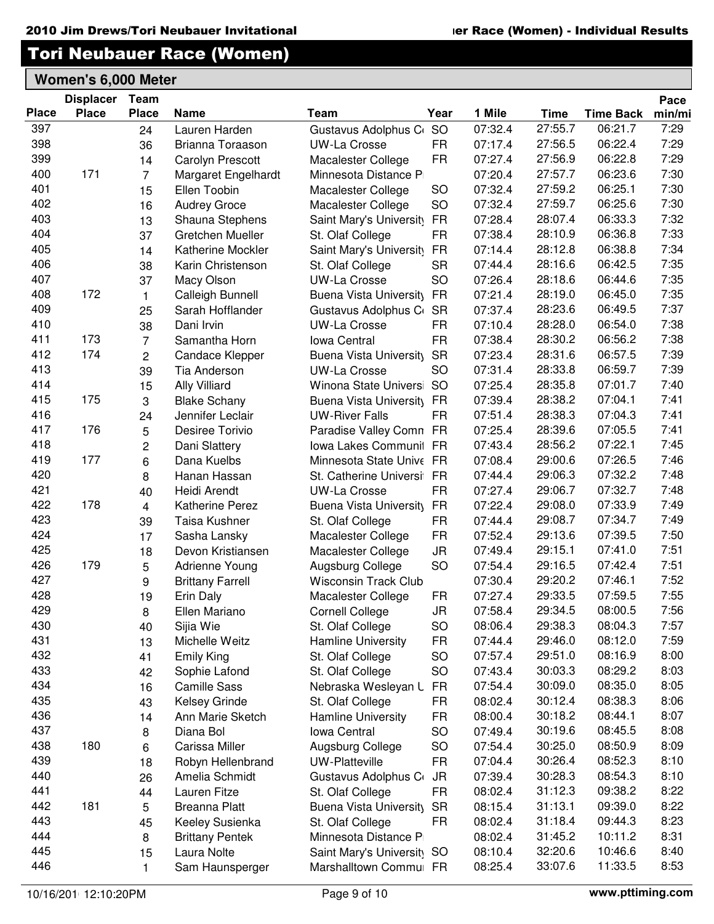Pace

### Tori Neubauer Race (Women)

|              | <b>Displacer</b> | Team           |                         |                             |           |         |             |                  | Pace   |
|--------------|------------------|----------------|-------------------------|-----------------------------|-----------|---------|-------------|------------------|--------|
| <b>Place</b> | <b>Place</b>     | <b>Place</b>   | <b>Name</b>             | Team                        | Year      | 1 Mile  | <b>Time</b> | <b>Time Back</b> | min/mi |
| 397          |                  | 24             | Lauren Harden           | Gustavus Adolphus C         | SO        | 07:32.4 | 27:55.7     | 06:21.7          | 7:29   |
| 398          |                  | 36             | Brianna Toraason        | <b>UW-La Crosse</b>         | <b>FR</b> | 07:17.4 | 27:56.5     | 06:22.4          | 7:29   |
| 399          |                  | 14             | <b>Carolyn Prescott</b> | Macalester College          | <b>FR</b> | 07:27.4 | 27:56.9     | 06:22.8          | 7:29   |
| 400          | 171              | $\overline{7}$ | Margaret Engelhardt     | Minnesota Distance P        |           | 07:20.4 | 27:57.7     | 06:23.6          | 7:30   |
| 401          |                  | 15             | Ellen Toobin            | Macalester College          | <b>SO</b> | 07:32.4 | 27:59.2     | 06:25.1          | 7:30   |
| 402          |                  | 16             | <b>Audrey Groce</b>     | Macalester College          | SO        | 07:32.4 | 27:59.7     | 06:25.6          | 7:30   |
| 403          |                  | 13             | Shauna Stephens         | Saint Mary's University     | <b>FR</b> | 07:28.4 | 28:07.4     | 06:33.3          | 7:32   |
| 404          |                  | 37             | Gretchen Mueller        | St. Olaf College            | <b>FR</b> | 07:38.4 | 28:10.9     | 06:36.8          | 7:33   |
| 405          |                  | 14             | Katherine Mockler       | Saint Mary's University     | <b>FR</b> | 07:14.4 | 28:12.8     | 06:38.8          | 7:34   |
| 406          |                  | 38             | Karin Christenson       | St. Olaf College            | <b>SR</b> | 07:44.4 | 28:16.6     | 06:42.5          | 7:35   |
| 407          |                  | 37             | Macy Olson              | <b>UW-La Crosse</b>         | SO        | 07:26.4 | 28:18.6     | 06:44.6          | 7:35   |
| 408          | 172              | $\mathbf{1}$   | Calleigh Bunnell        | Buena Vista University      | <b>FR</b> | 07:21.4 | 28:19.0     | 06:45.0          | 7:35   |
| 409          |                  | 25             | Sarah Hofflander        | Gustavus Adolphus C         | <b>SR</b> | 07:37.4 | 28:23.6     | 06:49.5          | 7:37   |
| 410          |                  | 38             | Dani Irvin              | <b>UW-La Crosse</b>         | <b>FR</b> | 07:10.4 | 28:28.0     | 06:54.0          | 7:38   |
| 411          | 173              | $\overline{7}$ | Samantha Horn           | <b>Iowa Central</b>         | <b>FR</b> | 07:38.4 | 28:30.2     | 06:56.2          | 7:38   |
| 412          | 174              | $\overline{2}$ | <b>Candace Klepper</b>  | Buena Vista University      | <b>SR</b> | 07:23.4 | 28:31.6     | 06:57.5          | 7:39   |
| 413          |                  | 39             | Tia Anderson            | <b>UW-La Crosse</b>         | SO        | 07:31.4 | 28:33.8     | 06:59.7          | 7:39   |
| 414          |                  | 15             | <b>Ally Villiard</b>    | Winona State Univers        | <b>SO</b> | 07:25.4 | 28:35.8     | 07:01.7          | 7:40   |
| 415          | 175              | 3              | <b>Blake Schany</b>     | Buena Vista University      | <b>FR</b> | 07:39.4 | 28:38.2     | 07:04.1          | 7:41   |
| 416          |                  | 24             | Jennifer Leclair        | <b>UW-River Falls</b>       | <b>FR</b> | 07:51.4 | 28:38.3     | 07:04.3          | 7:41   |
| 417          | 176              | 5              | Desiree Torivio         | Paradise Valley Comn FR     |           | 07:25.4 | 28:39.6     | 07:05.5          | 7:41   |
| 418          |                  | 2              | Dani Slattery           | Iowa Lakes Communit FR      |           | 07:43.4 | 28:56.2     | 07:22.1          | 7:45   |
| 419          | 177              | 6              | Dana Kuelbs             | Minnesota State Unive FR    |           | 07:08.4 | 29:00.6     | 07:26.5          | 7:46   |
| 420          |                  | 8              | Hanan Hassan            | St. Catherine Universi      | <b>FR</b> | 07:44.4 | 29:06.3     | 07:32.2          | 7:48   |
| 421          |                  | 40             | Heidi Arendt            | <b>UW-La Crosse</b>         | <b>FR</b> | 07:27.4 | 29:06.7     | 07:32.7          | 7:48   |
| 422          | 178              | $\overline{4}$ | <b>Katherine Perez</b>  | Buena Vista University      | <b>FR</b> | 07:22.4 | 29:08.0     | 07:33.9          | 7:49   |
| 423          |                  | 39             | Taisa Kushner           | St. Olaf College            | <b>FR</b> | 07:44.4 | 29:08.7     | 07:34.7          | 7:49   |
| 424          |                  | 17             | Sasha Lansky            | Macalester College          | <b>FR</b> | 07:52.4 | 29:13.6     | 07:39.5          | 7:50   |
| 425          |                  | 18             | Devon Kristiansen       | Macalester College          | <b>JR</b> | 07:49.4 | 29:15.1     | 07:41.0          | 7:51   |
| 426          | 179              | 5              | Adrienne Young          | Augsburg College            | SO        | 07:54.4 | 29:16.5     | 07:42.4          | 7:51   |
| 427          |                  | 9              | <b>Brittany Farrell</b> | <b>Wisconsin Track Club</b> |           | 07:30.4 | 29:20.2     | 07:46.1          | 7:52   |
| 428          |                  | 19             | Erin Daly               | Macalester College          | <b>FR</b> | 07:27.4 | 29:33.5     | 07:59.5          | 7:55   |
| 429          |                  | 8              | Ellen Mariano           | <b>Cornell College</b>      | <b>JR</b> | 07:58.4 | 29:34.5     | 08:00.5          | 7:56   |
| 430          |                  | 40             | Sijia Wie               | St. Olaf College            | SO        | 08:06.4 | 29:38.3     | 08:04.3          | 7:57   |
| 431          |                  | 13             | Michelle Weitz          | Hamline University          | <b>FR</b> | 07:44.4 | 29:46.0     | 08:12.0          | 7:59   |
| 432          |                  | 41             | <b>Emily King</b>       | St. Olaf College            | SO        | 07:57.4 | 29:51.0     | 08:16.9          | 8:00   |
| 433          |                  | 42             | Sophie Lafond           | St. Olaf College            | SO        | 07:43.4 | 30:03.3     | 08:29.2          | 8:03   |
| 434          |                  | 16             | <b>Camille Sass</b>     | Nebraska Wesleyan L         | <b>FR</b> | 07:54.4 | 30:09.0     | 08:35.0          | 8:05   |
| 435          |                  | 43             | Kelsey Grinde           | St. Olaf College            | <b>FR</b> | 08:02.4 | 30:12.4     | 08:38.3          | 8:06   |
| 436          |                  | 14             | Ann Marie Sketch        | Hamline University          | <b>FR</b> | 08:00.4 | 30:18.2     | 08:44.1          | 8:07   |
| 437          |                  | 8              | Diana Bol               | Iowa Central                | SO        | 07:49.4 | 30:19.6     | 08:45.5          | 8:08   |
| 438          | 180              | 6              | Carissa Miller          | Augsburg College            | SO        | 07:54.4 | 30:25.0     | 08:50.9          | 8:09   |
| 439          |                  | 18             | Robyn Hellenbrand       | <b>UW-Platteville</b>       | <b>FR</b> | 07:04.4 | 30:26.4     | 08:52.3          | 8:10   |
| 440          |                  | 26             | Amelia Schmidt          | Gustavus Adolphus C         | <b>JR</b> | 07:39.4 | 30:28.3     | 08:54.3          | 8:10   |
| 441          |                  | 44             | Lauren Fitze            | St. Olaf College            | <b>FR</b> | 08:02.4 | 31:12.3     | 09:38.2          | 8:22   |
| 442          | 181              | 5              | <b>Breanna Platt</b>    | Buena Vista University      | <b>SR</b> | 08:15.4 | 31:13.1     | 09:39.0          | 8:22   |
| 443          |                  | 45             | Keeley Susienka         | St. Olaf College            | <b>FR</b> | 08:02.4 | 31:18.4     | 09:44.3          | 8:23   |
| 444          |                  | 8              | <b>Brittany Pentek</b>  | Minnesota Distance P        |           | 08:02.4 | 31:45.2     | 10:11.2          | 8:31   |
| 445          |                  | 15             | Laura Nolte             | Saint Mary's University SO  |           | 08:10.4 | 32:20.6     | 10:46.6          | 8:40   |
| 446          |                  | 1.             | Sam Haunsperger         | Marshalltown Commu FR       |           | 08:25.4 | 33:07.6     | 11:33.5          | 8:53   |
|              |                  |                |                         |                             |           |         |             |                  |        |